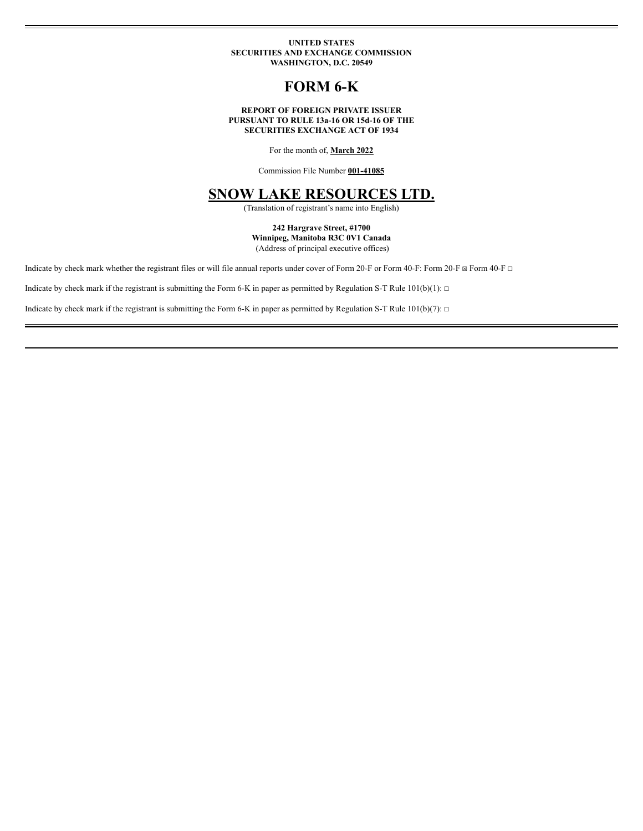### **UNITED STATES SECURITIES AND EXCHANGE COMMISSION WASHINGTON, D.C. 20549**

# **FORM 6-K**

### **REPORT OF FOREIGN PRIVATE ISSUER PURSUANT TO RULE 13a-16 OR 15d-16 OF THE SECURITIES EXCHANGE ACT OF 1934**

For the month of, **March 2022**

Commission File Number **001-41085**

# **SNOW LAKE RESOURCES LTD.**

(Translation of registrant's name into English)

### **242 Hargrave Street, #1700 Winnipeg, Manitoba R3C 0V1 Canada** (Address of principal executive offices)

Indicate by check mark whether the registrant files or will file annual reports under cover of Form 20-F or Form 40-F: Form 20-F ⊠ Form 40-F □

Indicate by check mark if the registrant is submitting the Form 6-K in paper as permitted by Regulation S-T Rule  $101(b)(1): \Box$ 

Indicate by check mark if the registrant is submitting the Form 6-K in paper as permitted by Regulation S-T Rule  $101(b)(7)$ : □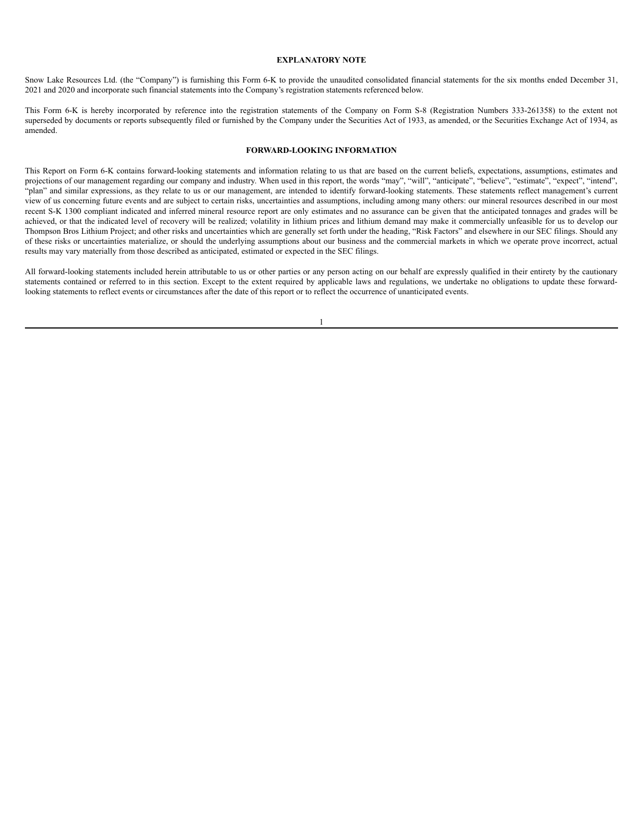#### **EXPLANATORY NOTE**

Snow Lake Resources Ltd. (the "Company") is furnishing this Form 6-K to provide the unaudited consolidated financial statements for the six months ended December 31, 2021 and 2020 and incorporate such financial statements into the Company's registration statements referenced below.

This Form 6-K is hereby incorporated by reference into the registration statements of the Company on Form S-8 (Registration Numbers 333-261358) to the extent not superseded by documents or reports subsequently filed or furnished by the Company under the Securities Act of 1933, as amended, or the Securities Exchange Act of 1934, as amended.

# **FORWARD-LOOKING INFORMATION**

This Report on Form 6-K contains forward-looking statements and information relating to us that are based on the current beliefs, expectations, assumptions, estimates and projections of our management regarding our company and industry. When used in this report, the words "may", "will", "anticipate", "believe", "estimate", "expect", "intend", "plan" and similar expressions, as they relate to us or our management, are intended to identify forward-looking statements. These statements reflect management's current view of us concerning future events and are subject to certain risks, uncertainties and assumptions, including among many others: our mineral resources described in our most recent S-K 1300 compliant indicated and inferred mineral resource report are only estimates and no assurance can be given that the anticipated tonnages and grades will be achieved, or that the indicated level of recovery will be realized; volatility in lithium prices and lithium demand may make it commercially unfeasible for us to develop our Thompson Bros Lithium Project; and other risks and uncertainties which are generally set forth under the heading, "Risk Factors" and elsewhere in our SEC filings. Should any of these risks or uncertainties materialize, or should the underlying assumptions about our business and the commercial markets in which we operate prove incorrect, actual results may vary materially from those described as anticipated, estimated or expected in the SEC filings.

All forward-looking statements included herein attributable to us or other parties or any person acting on our behalf are expressly qualified in their entirety by the cautionary statements contained or referred to in this section. Except to the extent required by applicable laws and regulations, we undertake no obligations to update these forwardlooking statements to reflect events or circumstances after the date of this report or to reflect the occurrence of unanticipated events.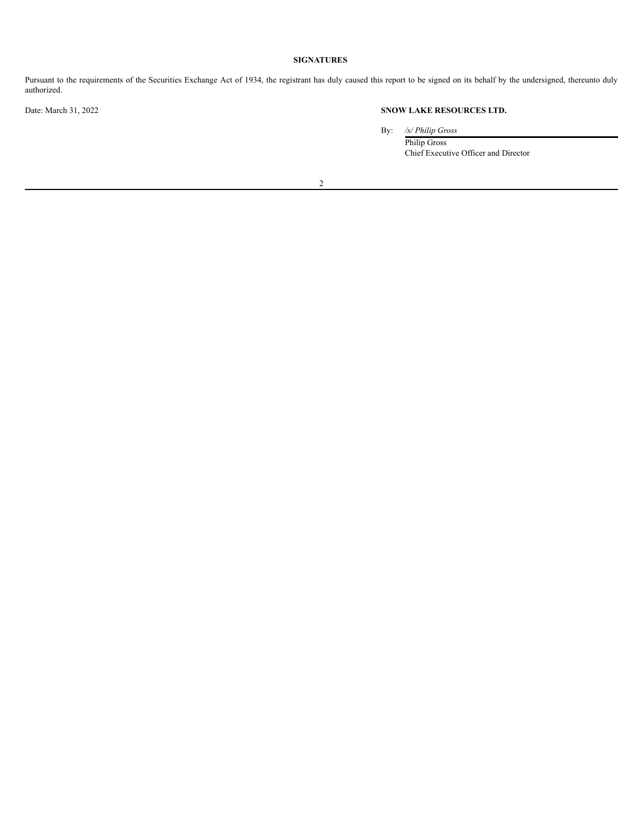# **SIGNATURES**

Pursuant to the requirements of the Securities Exchange Act of 1934, the registrant has duly caused this report to be signed on its behalf by the undersigned, thereunto duly authorized.

# Date: March 31, 2022 **SNOW LAKE RESOURCES LTD.**

By: */s/ Philip Gross*

Philip Gross Chief Executive Officer and Director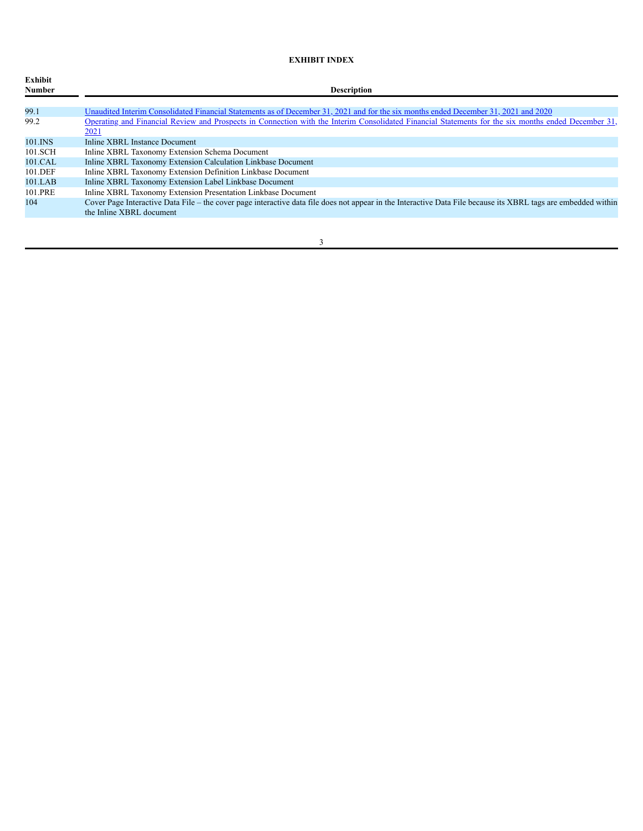# **EXHIBIT INDEX**

| Exhibit<br>Number | <b>Description</b>                                                                                                                                                                         |
|-------------------|--------------------------------------------------------------------------------------------------------------------------------------------------------------------------------------------|
| 99.1              | Unaudited Interim Consolidated Financial Statements as of December 31, 2021 and for the six months ended December 31, 2021 and 2020                                                        |
| 99.2              | Operating and Financial Review and Prospects in Connection with the Interim Consolidated Financial Statements for the six months ended December 31,<br><u>2021</u>                         |
| 101.INS           | Inline XBRL Instance Document                                                                                                                                                              |
| 101.SCH           | Inline XBRL Taxonomy Extension Schema Document                                                                                                                                             |
| 101.CAL           | Inline XBRL Taxonomy Extension Calculation Linkbase Document                                                                                                                               |
| 101.DEF           | Inline XBRL Taxonomy Extension Definition Linkbase Document                                                                                                                                |
| $101$ .LAB        | Inline XBRL Taxonomy Extension Label Linkbase Document                                                                                                                                     |
| 101.PRE           | Inline XBRL Taxonomy Extension Presentation Linkbase Document                                                                                                                              |
| 104               | Cover Page Interactive Data File – the cover page interactive data file does not appear in the Interactive Data File because its XBRL tags are embedded within<br>the Inline XBRL document |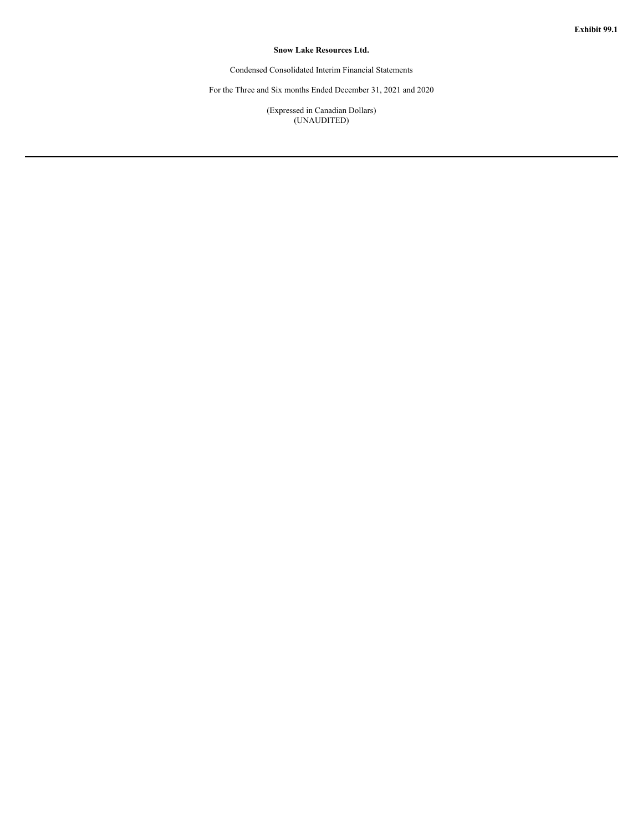# **Snow Lake Resources Ltd.**

Condensed Consolidated Interim Financial Statements

For the Three and Six months Ended December 31, 2021 and 2020

(Expressed in Canadian Dollars) (UNAUDITED)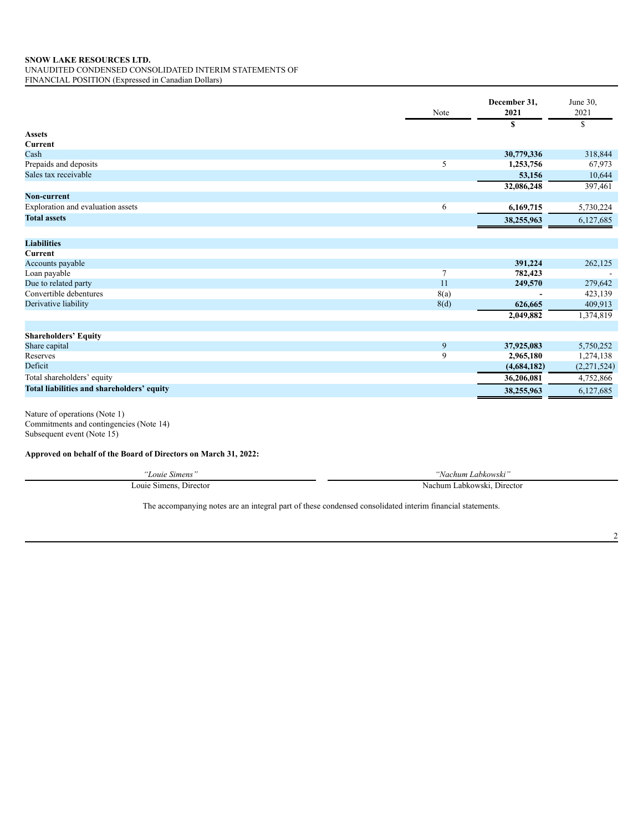UNAUDITED CONDENSED CONSOLIDATED INTERIM STATEMENTS OF

FINANCIAL POSITION (Expressed in Canadian Dollars)

| \$<br>S<br><b>Assets</b><br>Current<br>30,779,336<br>Cash<br>Prepaids and deposits<br>5<br>1,253,756<br>Sales tax receivable<br>53,156<br>32,086,248<br>397,461<br>Non-current | 318,844<br>67,973<br>10,644 |
|--------------------------------------------------------------------------------------------------------------------------------------------------------------------------------|-----------------------------|
|                                                                                                                                                                                |                             |
|                                                                                                                                                                                |                             |
|                                                                                                                                                                                |                             |
|                                                                                                                                                                                |                             |
|                                                                                                                                                                                |                             |
|                                                                                                                                                                                |                             |
|                                                                                                                                                                                |                             |
|                                                                                                                                                                                |                             |
| Exploration and evaluation assets<br>6<br>6,169,715<br>5,730,224                                                                                                               |                             |
| <b>Total assets</b><br>38,255,963<br>6,127,685                                                                                                                                 |                             |
| <b>Liabilities</b>                                                                                                                                                             |                             |
| <b>Current</b>                                                                                                                                                                 |                             |
| 391,224<br>Accounts payable                                                                                                                                                    | 262,125                     |
| Loan payable<br>782,423                                                                                                                                                        |                             |
| Due to related party<br>11<br>249,570                                                                                                                                          | 279,642                     |
| Convertible debentures<br>8(a)                                                                                                                                                 | 423,139                     |
| Derivative liability<br>8(d)<br>626,665                                                                                                                                        | 409,913                     |
| 1,374,819<br>2,049,882                                                                                                                                                         |                             |
|                                                                                                                                                                                |                             |
| <b>Shareholders' Equity</b>                                                                                                                                                    |                             |
| 9<br>37,925,083<br>Share capital<br>5,750,252                                                                                                                                  |                             |
| 9<br>Reserves<br>2,965,180<br>1,274,138                                                                                                                                        |                             |
| Deficit<br>(2, 271, 524)<br>(4,684,182)                                                                                                                                        |                             |
| Total shareholders' equity<br>4,752,866<br>36,206,081                                                                                                                          |                             |
| Total liabilities and shareholders' equity<br>38,255,963<br>6,127,685                                                                                                          |                             |

Nature of operations (Note 1) Commitments and contingencies (Note 14) Subsequent event (Note 15)

**Approved on behalf of the Board of Directors on March 31, 2022:**

| ∟ouie                               | 65.7                               |
|-------------------------------------|------------------------------------|
| <b>Simens</b>                       | Nachum Labkowski                   |
| $-$<br>Simens<br>ouie<br>. Director | i Labkowski.<br>Nachum<br>Director |

The accompanying notes are an integral part of these condensed consolidated interim financial statements.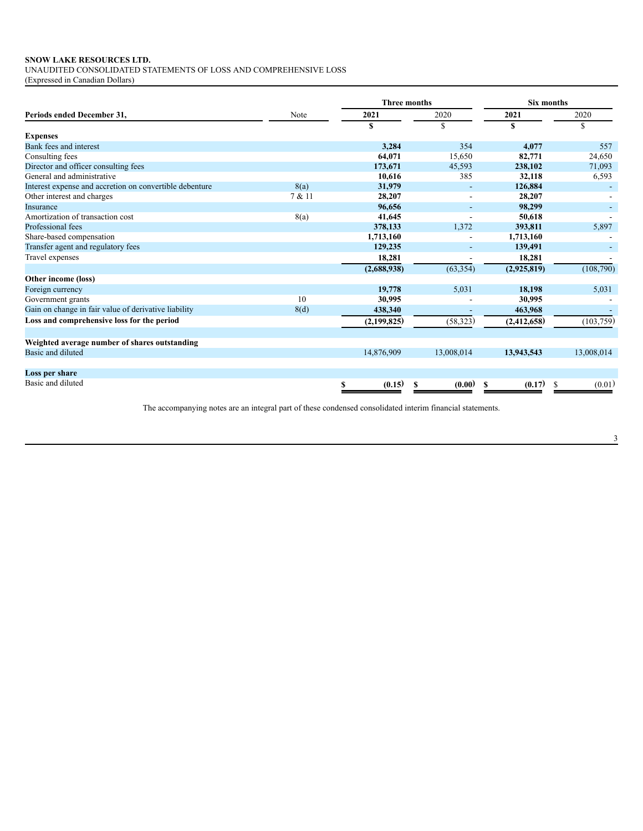UNAUDITED CONSOLIDATED STATEMENTS OF LOSS AND COMPREHENSIVE LOSS

(Expressed in Canadian Dollars)

|                                                         |        | <b>Three months</b> |                          | <b>Six months</b> |             |  |  |
|---------------------------------------------------------|--------|---------------------|--------------------------|-------------------|-------------|--|--|
| Periods ended December 31,                              | Note   | 2021                | 2020                     | 2021              | 2020        |  |  |
|                                                         |        | \$                  | \$                       | \$                | S           |  |  |
| <b>Expenses</b>                                         |        |                     |                          |                   |             |  |  |
| Bank fees and interest                                  |        | 3.284               | 354                      | 4.077             | 557         |  |  |
| Consulting fees                                         |        | 64.071              | 15,650                   | 82,771            | 24,650      |  |  |
| Director and officer consulting fees                    |        | 173,671             | 45,593                   | 238,102           | 71,093      |  |  |
| General and administrative                              |        | 10.616              | 385                      | 32,118            | 6,593       |  |  |
| Interest expense and accretion on convertible debenture | 8(a)   | 31,979              | ٠                        | 126,884           |             |  |  |
| Other interest and charges                              | 7 & 11 | 28,207              |                          | 28,207            |             |  |  |
| Insurance                                               |        | 96,656              |                          | 98,299            |             |  |  |
| Amortization of transaction cost                        | 8(a)   | 41,645              | $\overline{\phantom{a}}$ | 50,618            |             |  |  |
| Professional fees                                       |        | 378,133             | 1,372                    | 393,811           | 5,897       |  |  |
| Share-based compensation                                |        | 1,713,160           |                          | 1,713,160         |             |  |  |
| Transfer agent and regulatory fees                      |        | 129,235             |                          | 139,491           |             |  |  |
| Travel expenses                                         |        | 18,281              |                          | 18,281            |             |  |  |
|                                                         |        | (2,688,938)         | (63, 354)                | (2,925,819)       | (108,790)   |  |  |
| Other income (loss)                                     |        |                     |                          |                   |             |  |  |
| Foreign currency                                        |        | 19,778              | 5,031                    | 18,198            | 5,031       |  |  |
| Government grants                                       | 10     | 30,995              |                          | 30,995            |             |  |  |
| Gain on change in fair value of derivative liability    | 8(d)   | 438,340             |                          | 463,968           |             |  |  |
| Loss and comprehensive loss for the period              |        | (2,199,825)         | (58, 323)                | (2, 412, 658)     | (103, 759)  |  |  |
|                                                         |        |                     |                          |                   |             |  |  |
| Weighted average number of shares outstanding           |        |                     |                          |                   |             |  |  |
| Basic and diluted                                       |        | 14,876,909          | 13,008,014               | 13,943,543        | 13,008,014  |  |  |
| Loss per share                                          |        |                     |                          |                   |             |  |  |
| Basic and diluted                                       |        | (0.15)<br>S         | (0.00)<br>S              | (0.17)<br>S       | (0.01)<br>S |  |  |

The accompanying notes are an integral part of these condensed consolidated interim financial statements.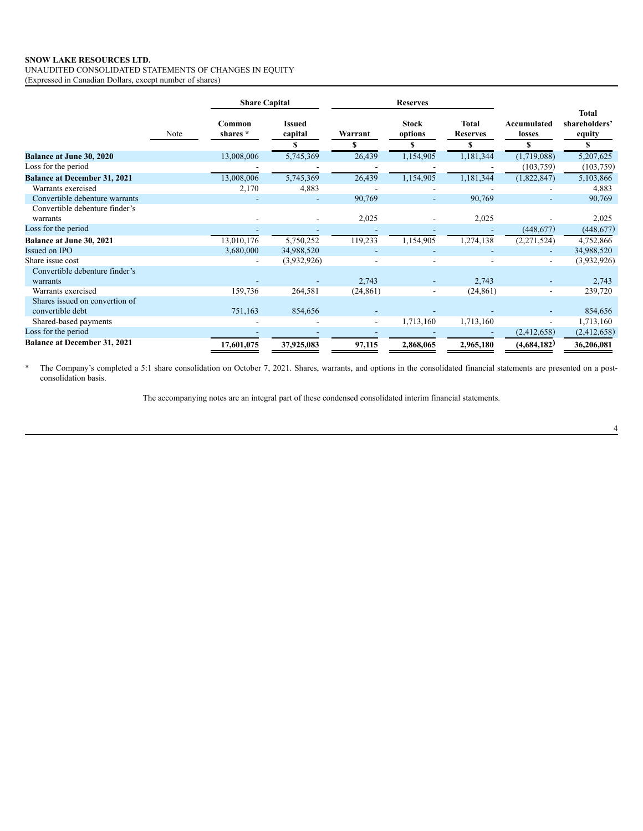UNAUDITED CONSOLIDATED STATEMENTS OF CHANGES IN EQUITY (Expressed in Canadian Dollars, except number of shares)

|                                     |      | <b>Share Capital</b> |                                |                          | <b>Reserves</b>               |                               |                            |                                              |
|-------------------------------------|------|----------------------|--------------------------------|--------------------------|-------------------------------|-------------------------------|----------------------------|----------------------------------------------|
|                                     | Note | Common<br>shares *   | <b>Issued</b><br>capital<br>\$ | Warrant                  | <b>Stock</b><br>options<br>\$ | Total<br><b>Reserves</b><br>S | Accumulated<br>losses<br>S | <b>Total</b><br>shareholders'<br>equity<br>S |
| <b>Balance at June 30, 2020</b>     |      | 13,008,006           | 5,745,369                      | 26,439                   | 1,154,905                     | 1,181,344                     | (1,719,088)                | 5,207,625                                    |
| Loss for the period                 |      |                      |                                |                          |                               |                               | (103, 759)                 | (103,759)                                    |
| <b>Balance at December 31, 2021</b> |      | 13,008,006           | 5,745,369                      | 26,439                   | 1,154,905                     | 1,181,344                     | (1,822,847)                | 5,103,866                                    |
| Warrants exercised                  |      | 2,170                | 4,883                          |                          |                               |                               |                            | 4,883                                        |
| Convertible debenture warrants      |      |                      |                                | 90,769                   | ۰.                            | 90,769                        |                            | 90,769                                       |
| Convertible debenture finder's      |      |                      |                                |                          |                               |                               |                            |                                              |
| warrants                            |      |                      |                                | 2,025                    |                               | 2,025                         |                            | 2,025                                        |
| Loss for the period                 |      |                      |                                |                          |                               |                               | (448, 677)                 | (448, 677)                                   |
| <b>Balance at June 30, 2021</b>     |      | 13,010,176           | 5,750,252                      | 119,233                  | 1,154,905                     | 1,274,138                     | (2,271,524)                | 4,752,866                                    |
| Issued on IPO                       |      | 3,680,000            | 34,988,520                     |                          |                               |                               |                            | 34,988,520                                   |
| Share issue cost                    |      |                      | (3,932,926)                    |                          |                               |                               | $\overline{\phantom{a}}$   | (3,932,926)                                  |
| Convertible debenture finder's      |      |                      |                                |                          |                               |                               |                            |                                              |
| warrants                            |      |                      |                                | 2,743                    |                               | 2,743                         |                            | 2,743                                        |
| Warrants exercised                  |      | 159,736              | 264,581                        | (24, 861)                |                               | (24, 861)                     | $\overline{\phantom{a}}$   | 239,720                                      |
| Shares issued on convertion of      |      |                      |                                |                          |                               |                               |                            |                                              |
| convertible debt                    |      | 751,163              | 854,656                        |                          |                               |                               |                            | 854,656                                      |
| Shared-based payments               |      |                      |                                | $\overline{\phantom{a}}$ | 1,713,160                     | 1,713,160                     |                            | 1,713,160                                    |
| Loss for the period                 |      |                      |                                |                          |                               |                               | (2,412,658)                | (2,412,658)                                  |
| <b>Balance at December 31, 2021</b> |      | 17,601,075           | 37,925,083                     | 97,115                   | 2,868,065                     | 2,965,180                     | (4,684,182)                | 36,206,081                                   |

\* The Company's completed a 5:1 share consolidation on October 7, 2021. Shares, warrants, and options in the consolidated financial statements are presented on a postconsolidation basis.

The accompanying notes are an integral part of these condensed consolidated interim financial statements.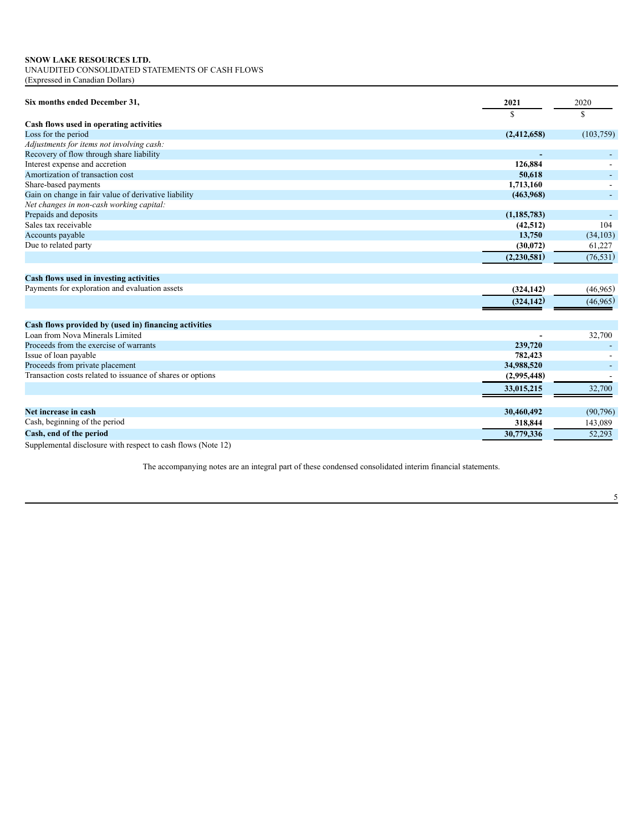UNAUDITED CONSOLIDATED STATEMENTS OF CASH FLOWS (Expressed in Canadian Dollars)

| Six months ended December 31,                                 | 2021<br>S     | 2020<br>\$ |
|---------------------------------------------------------------|---------------|------------|
| Cash flows used in operating activities                       |               |            |
| Loss for the period                                           | (2,412,658)   | (103, 759) |
| Adjustments for items not involving cash:                     |               |            |
| Recovery of flow through share liability                      |               |            |
| Interest expense and accretion                                | 126,884       |            |
| Amortization of transaction cost                              | 50,618        |            |
| Share-based payments                                          | 1,713,160     |            |
| Gain on change in fair value of derivative liability          | (463,968)     |            |
| Net changes in non-cash working capital:                      |               |            |
| Prepaids and deposits                                         | (1, 185, 783) |            |
| Sales tax receivable                                          | (42, 512)     | 104        |
| Accounts payable                                              | 13,750        | (34, 103)  |
| Due to related party                                          | (30,072)      | 61,227     |
|                                                               | (2,230,581)   | (76, 531)  |
| Cash flows used in investing activities                       |               |            |
| Payments for exploration and evaluation assets                | (324, 142)    | (46,965)   |
|                                                               | (324.142)     | (46,965)   |
|                                                               |               |            |
| Cash flows provided by (used in) financing activities         |               |            |
| Loan from Nova Minerals Limited                               |               | 32,700     |
| Proceeds from the exercise of warrants                        | 239,720       |            |
| Issue of loan payable                                         | 782,423       |            |
| Proceeds from private placement                               | 34,988,520    |            |
| Transaction costs related to issuance of shares or options    | (2,995,448)   |            |
|                                                               | 33,015,215    | 32,700     |
| Net increase in cash                                          | 30,460,492    |            |
|                                                               |               | (90, 796)  |
| Cash, beginning of the period                                 | 318,844       | 143,089    |
| Cash, end of the period                                       | 30,779,336    | 52,293     |
| Supplemental disalactive with recreat to each flows (Note 12) |               |            |

Supplemental disclosure with respect to cash flows (Note 12)

The accompanying notes are an integral part of these condensed consolidated interim financial statements.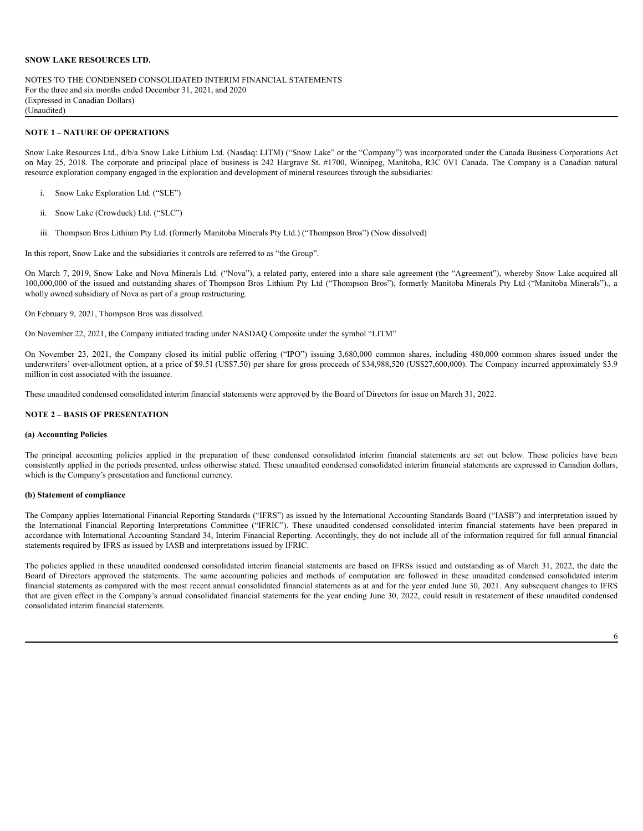NOTES TO THE CONDENSED CONSOLIDATED INTERIM FINANCIAL STATEMENTS For the three and six months ended December 31, 2021, and 2020 (Expressed in Canadian Dollars) (Unaudited)

#### **NOTE 1 – NATURE OF OPERATIONS**

Snow Lake Resources Ltd., d/b/a Snow Lake Lithium Ltd. (Nasdaq: LITM) ("Snow Lake" or the "Company") was incorporated under the Canada Business Corporations Act on May 25, 2018. The corporate and principal place of business is 242 Hargrave St. #1700, Winnipeg, Manitoba, R3C 0V1 Canada. The Company is a Canadian natural resource exploration company engaged in the exploration and development of mineral resources through the subsidiaries:

- i. Snow Lake Exploration Ltd. ("SLE")
- ii. Snow Lake (Crowduck) Ltd. ("SLC")
- iii. Thompson Bros Lithium Pty Ltd. (formerly Manitoba Minerals Pty Ltd.) ("Thompson Bros") (Now dissolved)

In this report, Snow Lake and the subsidiaries it controls are referred to as "the Group".

On March 7, 2019, Snow Lake and Nova Minerals Ltd. ("Nova"), a related party, entered into a share sale agreement (the "Agreement"), whereby Snow Lake acquired all 100,000,000 of the issued and outstanding shares of Thompson Bros Lithium Pty Ltd ("Thompson Bros"), formerly Manitoba Minerals Pty Ltd ("Manitoba Minerals")., a wholly owned subsidiary of Nova as part of a group restructuring.

On February 9, 2021, Thompson Bros was dissolved.

On November 22, 2021, the Company initiated trading under NASDAQ Composite under the symbol "LITM"

On November 23, 2021, the Company closed its initial public offering ("IPO") issuing 3,680,000 common shares, including 480,000 common shares issued under the underwriters' over-allotment option, at a price of \$9.51 (US\$7.50) per share for gross proceeds of \$34,988,520 (US\$27,600,000). The Company incurred approximately \$3.9 million in cost associated with the issuance.

These unaudited condensed consolidated interim financial statements were approved by the Board of Directors for issue on March 31, 2022.

### **NOTE 2 – BASIS OF PRESENTATION**

#### **(a) Accounting Policies**

The principal accounting policies applied in the preparation of these condensed consolidated interim financial statements are set out below. These policies have been consistently applied in the periods presented, unless otherwise stated. These unaudited condensed consolidated interim financial statements are expressed in Canadian dollars, which is the Company's presentation and functional currency.

### **(b) Statement of compliance**

The Company applies International Financial Reporting Standards ("IFRS") as issued by the International Accounting Standards Board ("IASB") and interpretation issued by the International Financial Reporting Interpretations Committee ("IFRIC"). These unaudited condensed consolidated interim financial statements have been prepared in accordance with International Accounting Standard 34, Interim Financial Reporting. Accordingly, they do not include all of the information required for full annual financial statements required by IFRS as issued by IASB and interpretations issued by IFRIC.

The policies applied in these unaudited condensed consolidated interim financial statements are based on IFRSs issued and outstanding as of March 31, 2022, the date the Board of Directors approved the statements. The same accounting policies and methods of computation are followed in these unaudited condensed consolidated interim financial statements as compared with the most recent annual consolidated financial statements as at and for the year ended June 30, 2021. Any subsequent changes to IFRS that are given effect in the Company's annual consolidated financial statements for the year ending June 30, 2022, could result in restatement of these unaudited condensed consolidated interim financial statements.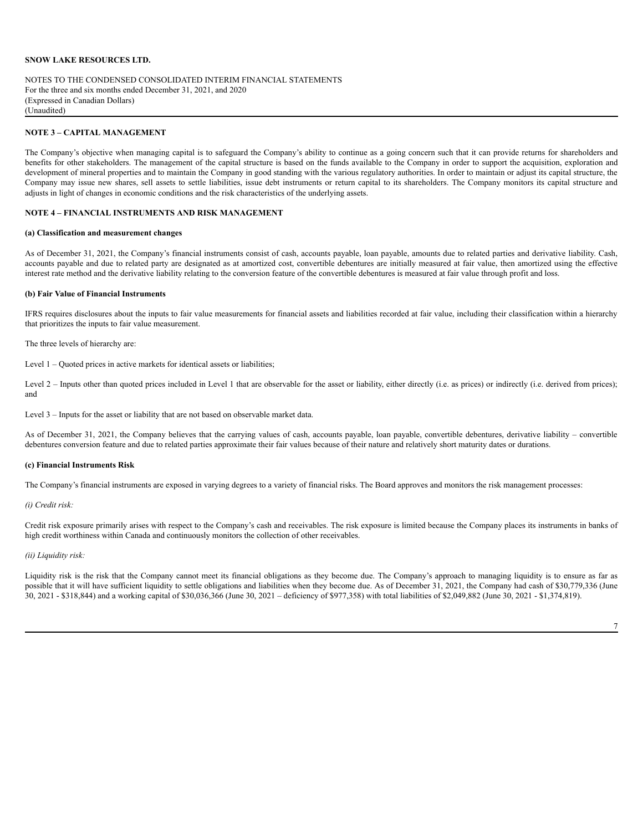NOTES TO THE CONDENSED CONSOLIDATED INTERIM FINANCIAL STATEMENTS For the three and six months ended December 31, 2021, and 2020 (Expressed in Canadian Dollars) (Unaudited)

#### **NOTE 3 – CAPITAL MANAGEMENT**

The Company's objective when managing capital is to safeguard the Company's ability to continue as a going concern such that it can provide returns for shareholders and benefits for other stakeholders. The management of the capital structure is based on the funds available to the Company in order to support the acquisition, exploration and development of mineral properties and to maintain the Company in good standing with the various regulatory authorities. In order to maintain or adjust its capital structure, the Company may issue new shares, sell assets to settle liabilities, issue debt instruments or return capital to its shareholders. The Company monitors its capital structure and adjusts in light of changes in economic conditions and the risk characteristics of the underlying assets.

#### **NOTE 4 – FINANCIAL INSTRUMENTS AND RISK MANAGEMENT**

### **(a) Classification and measurement changes**

As of December 31, 2021, the Company's financial instruments consist of cash, accounts payable, loan payable, amounts due to related parties and derivative liability. Cash, accounts payable and due to related party are designated as at amortized cost, convertible debentures are initially measured at fair value, then amortized using the effective interest rate method and the derivative liability relating to the conversion feature of the convertible debentures is measured at fair value through profit and loss.

#### **(b) Fair Value of Financial Instruments**

IFRS requires disclosures about the inputs to fair value measurements for financial assets and liabilities recorded at fair value, including their classification within a hierarchy that prioritizes the inputs to fair value measurement.

The three levels of hierarchy are:

Level 1 – Quoted prices in active markets for identical assets or liabilities;

Level 2 – Inputs other than quoted prices included in Level 1 that are observable for the asset or liability, either directly (i.e. as prices) or indirectly (i.e. derived from prices); and

Level 3 – Inputs for the asset or liability that are not based on observable market data.

As of December 31, 2021, the Company believes that the carrying values of cash, accounts payable, loan payable, convertible debentures, derivative liability – convertible debentures conversion feature and due to related parties approximate their fair values because of their nature and relatively short maturity dates or durations.

#### **(c) Financial Instruments Risk**

The Company's financial instruments are exposed in varying degrees to a variety of financial risks. The Board approves and monitors the risk management processes:

#### *(i) Credit risk:*

Credit risk exposure primarily arises with respect to the Company's cash and receivables. The risk exposure is limited because the Company places its instruments in banks of high credit worthiness within Canada and continuously monitors the collection of other receivables.

#### *(ii) Liquidity risk:*

Liquidity risk is the risk that the Company cannot meet its financial obligations as they become due. The Company's approach to managing liquidity is to ensure as far as possible that it will have sufficient liquidity to settle obligations and liabilities when they become due. As of December 31, 2021, the Company had cash of \$30,779,336 (June 30, 2021 - \$318,844) and a working capital of \$30,036,366 (June 30, 2021 – deficiency of \$977,358) with total liabilities of \$2,049,882 (June 30, 2021 - \$1,374,819).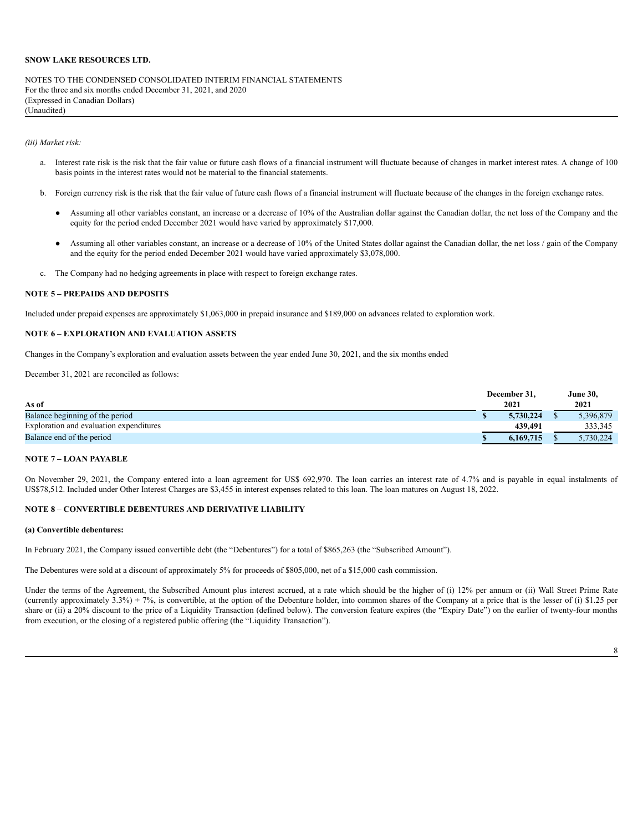NOTES TO THE CONDENSED CONSOLIDATED INTERIM FINANCIAL STATEMENTS For the three and six months ended December 31, 2021, and 2020 (Expressed in Canadian Dollars) (Unaudited)

*(iii) Market risk:*

- a. Interest rate risk is the risk that the fair value or future cash flows of a financial instrument will fluctuate because of changes in market interest rates. A change of 100 basis points in the interest rates would not be material to the financial statements.
- b. Foreign currency risk is the risk that the fair value of future cash flows of a financial instrument will fluctuate because of the changes in the foreign exchange rates.
	- Assuming all other variables constant, an increase or a decrease of 10% of the Australian dollar against the Canadian dollar, the net loss of the Company and the equity for the period ended December 2021 would have varied by approximately \$17,000.
	- Assuming all other variables constant, an increase or a decrease of 10% of the United States dollar against the Canadian dollar, the net loss / gain of the Company and the equity for the period ended December 2021 would have varied approximately \$3,078,000.
- c. The Company had no hedging agreements in place with respect to foreign exchange rates.

# **NOTE 5 – PREPAIDS AND DEPOSITS**

Included under prepaid expenses are approximately \$1,063,000 in prepaid insurance and \$189,000 on advances related to exploration work.

# **NOTE 6 – EXPLORATION AND EVALUATION ASSETS**

Changes in the Company's exploration and evaluation assets between the year ended June 30, 2021, and the six months ended

December 31, 2021 are reconciled as follows:

| As of                                   |  |           | <b>June 30,</b><br>2021 |           |  |
|-----------------------------------------|--|-----------|-------------------------|-----------|--|
| Balance beginning of the period         |  | 5.730.224 |                         | 5,396,879 |  |
| Exploration and evaluation expenditures |  | 439.491   |                         | 333,345   |  |
| Balance end of the period               |  | 6,169,715 |                         | 5.730.224 |  |

#### **NOTE 7 – LOAN PAYABLE**

On November 29, 2021, the Company entered into a loan agreement for US\$ 692,970. The loan carries an interest rate of 4.7% and is payable in equal instalments of US\$78,512. Included under Other Interest Charges are \$3,455 in interest expenses related to this loan. The loan matures on August 18, 2022.

# **NOTE 8 – CONVERTIBLE DEBENTURES AND DERIVATIVE LIABILITY**

#### **(a) Convertible debentures:**

In February 2021, the Company issued convertible debt (the "Debentures") for a total of \$865,263 (the "Subscribed Amount").

The Debentures were sold at a discount of approximately 5% for proceeds of \$805,000, net of a \$15,000 cash commission.

Under the terms of the Agreement, the Subscribed Amount plus interest accrued, at a rate which should be the higher of (i) 12% per annum or (ii) Wall Street Prime Rate (currently approximately 3.3%) + 7%, is convertible, at the option of the Debenture holder, into common shares of the Company at a price that is the lesser of (i) \$1.25 per share or (ii) a 20% discount to the price of a Liquidity Transaction (defined below). The conversion feature expires (the "Expiry Date") on the earlier of twenty-four months from execution, or the closing of a registered public offering (the "Liquidity Transaction").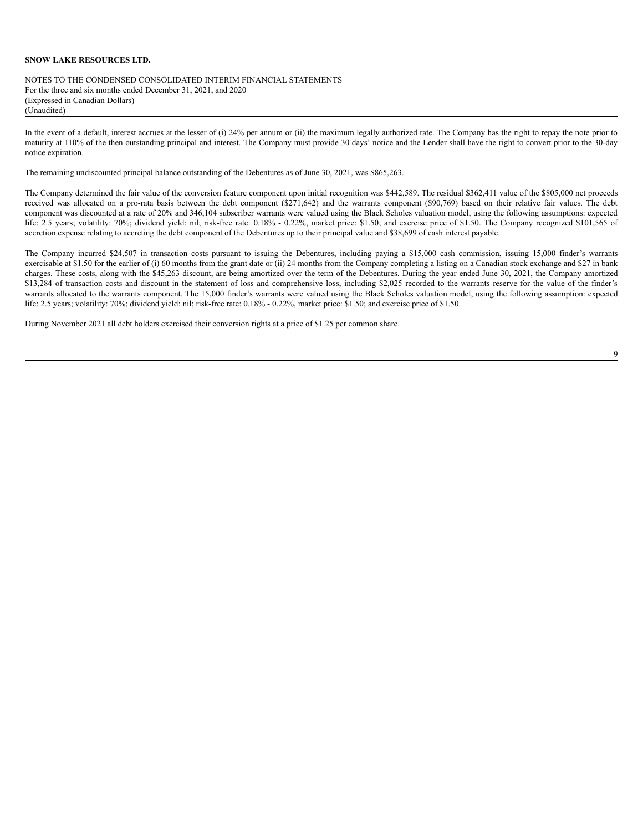NOTES TO THE CONDENSED CONSOLIDATED INTERIM FINANCIAL STATEMENTS For the three and six months ended December 31, 2021, and 2020 (Expressed in Canadian Dollars) (Unaudited)

In the event of a default, interest accrues at the lesser of (i) 24% per annum or (ii) the maximum legally authorized rate. The Company has the right to repay the note prior to maturity at 110% of the then outstanding principal and interest. The Company must provide 30 days' notice and the Lender shall have the right to convert prior to the 30-day notice expiration.

The remaining undiscounted principal balance outstanding of the Debentures as of June 30, 2021, was \$865,263.

The Company determined the fair value of the conversion feature component upon initial recognition was \$442,589. The residual \$362,411 value of the \$805,000 net proceeds received was allocated on a pro-rata basis between the debt component (\$271,642) and the warrants component (\$90,769) based on their relative fair values. The debt component was discounted at a rate of 20% and 346,104 subscriber warrants were valued using the Black Scholes valuation model, using the following assumptions: expected life: 2.5 years; volatility: 70%; dividend yield: nil; risk-free rate: 0.18% - 0.22%, market price: \$1.50; and exercise price of \$1.50. The Company recognized \$101,565 of accretion expense relating to accreting the debt component of the Debentures up to their principal value and \$38,699 of cash interest payable.

The Company incurred \$24,507 in transaction costs pursuant to issuing the Debentures, including paying a \$15,000 cash commission, issuing 15,000 finder's warrants exercisable at \$1.50 for the earlier of (i) 60 months from the grant date or (ii) 24 months from the Company completing a listing on a Canadian stock exchange and \$27 in bank charges. These costs, along with the \$45,263 discount, are being amortized over the term of the Debentures. During the year ended June 30, 2021, the Company amortized \$13,284 of transaction costs and discount in the statement of loss and comprehensive loss, including \$2,025 recorded to the warrants reserve for the value of the finder's warrants allocated to the warrants component. The 15,000 finder's warrants were valued using the Black Scholes valuation model, using the following assumption: expected life: 2.5 years; volatility: 70%; dividend yield: nil; risk-free rate: 0.18% - 0.22%, market price: \$1.50; and exercise price of \$1.50.

During November 2021 all debt holders exercised their conversion rights at a price of \$1.25 per common share.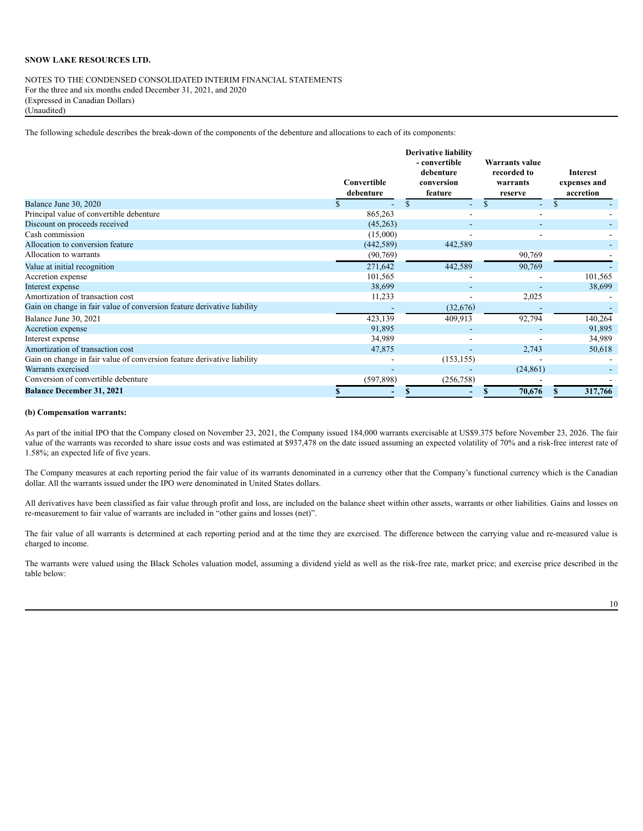NOTES TO THE CONDENSED CONSOLIDATED INTERIM FINANCIAL STATEMENTS For the three and six months ended December 31, 2021, and 2020 (Expressed in Canadian Dollars) (Unaudited)

The following schedule describes the break-down of the components of the debenture and allocations to each of its components:

|                                                                         | <b>Derivative liability</b><br>- convertible<br>debenture<br>Convertible<br>conversion<br>debenture<br>feature |                              | <b>Warrants value</b><br>recorded to<br>warrants<br>reserve | <b>Interest</b><br>expenses and<br>accretion |
|-------------------------------------------------------------------------|----------------------------------------------------------------------------------------------------------------|------------------------------|-------------------------------------------------------------|----------------------------------------------|
| Balance June 30, 2020                                                   |                                                                                                                | \$                           |                                                             | $\mathbb{S}$                                 |
| Principal value of convertible debenture                                | 865,263                                                                                                        |                              |                                                             |                                              |
| Discount on proceeds received                                           | (45,263)                                                                                                       |                              |                                                             |                                              |
| Cash commission                                                         | (15,000)                                                                                                       |                              |                                                             |                                              |
| Allocation to conversion feature                                        | (442, 589)                                                                                                     | 442,589                      |                                                             |                                              |
| Allocation to warrants                                                  | (90, 769)                                                                                                      |                              | 90,769                                                      |                                              |
| Value at initial recognition                                            | 271,642                                                                                                        | 442,589                      | 90,769                                                      |                                              |
| Accretion expense                                                       | 101,565                                                                                                        |                              |                                                             | 101,565                                      |
| Interest expense                                                        | 38,699                                                                                                         | ٠                            |                                                             | 38,699                                       |
| Amortization of transaction cost                                        | 11,233                                                                                                         | $\qquad \qquad \blacksquare$ | 2,025                                                       |                                              |
| Gain on change in fair value of conversion feature derivative liability |                                                                                                                | (32,676)                     |                                                             |                                              |
| Balance June 30, 2021                                                   | 423,139                                                                                                        | 409,913                      | 92,794                                                      | 140,264                                      |
| Accretion expense                                                       | 91,895                                                                                                         |                              |                                                             | 91,895                                       |
| Interest expense                                                        | 34,989                                                                                                         |                              |                                                             | 34,989                                       |
| Amortization of transaction cost                                        | 47,875                                                                                                         |                              | 2,743                                                       | 50,618                                       |
| Gain on change in fair value of conversion feature derivative liability |                                                                                                                | (153, 155)                   |                                                             |                                              |
| Warrants exercised                                                      |                                                                                                                |                              | (24, 861)                                                   |                                              |
| Conversion of convertible debenture                                     | (597, 898)                                                                                                     | (256,758)                    |                                                             |                                              |
| <b>Balance December 31, 2021</b>                                        |                                                                                                                | S                            | 70,676                                                      | 317,766                                      |

#### **(b) Compensation warrants:**

As part of the initial IPO that the Company closed on November 23, 2021, the Company issued 184,000 warrants exercisable at US\$9.375 before November 23, 2026. The fair value of the warrants was recorded to share issue costs and was estimated at \$937,478 on the date issued assuming an expected volatility of 70% and a risk-free interest rate of 1.58%; an expected life of five years.

The Company measures at each reporting period the fair value of its warrants denominated in a currency other that the Company's functional currency which is the Canadian dollar. All the warrants issued under the IPO were denominated in United States dollars.

All derivatives have been classified as fair value through profit and loss, are included on the balance sheet within other assets, warrants or other liabilities. Gains and losses on re-measurement to fair value of warrants are included in "other gains and losses (net)".

The fair value of all warrants is determined at each reporting period and at the time they are exercised. The difference between the carrying value and re-measured value is charged to income.

The warrants were valued using the Black Scholes valuation model, assuming a dividend yield as well as the risk-free rate, market price; and exercise price described in the table below: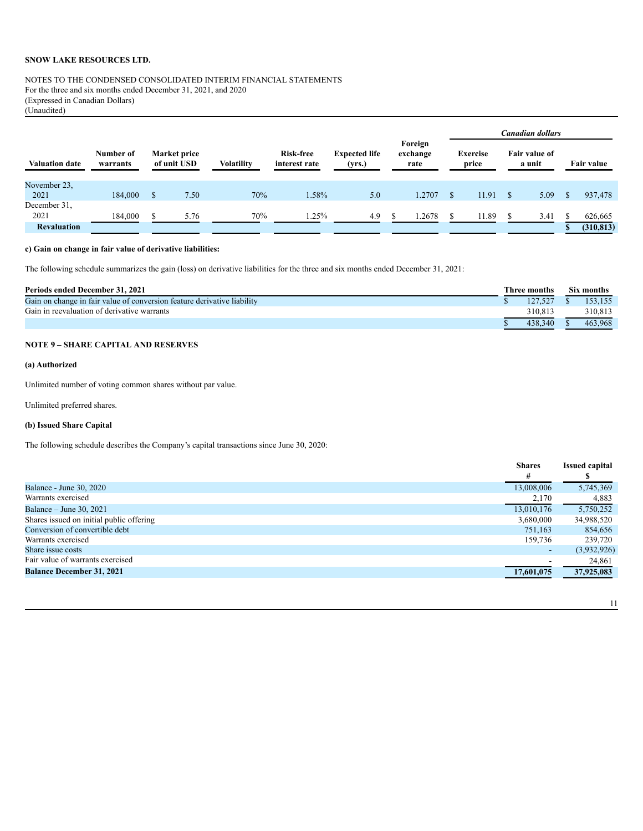# NOTES TO THE CONDENSED CONSOLIDATED INTERIM FINANCIAL STATEMENTS For the three and six months ended December 31, 2021, and 2020 (Expressed in Canadian Dollars) (Unaudited)

|                       |                       |                             |                   |                            |                                |                             |                                    |  | Canadian dollars |  |            |  |  |
|-----------------------|-----------------------|-----------------------------|-------------------|----------------------------|--------------------------------|-----------------------------|------------------------------------|--|------------------|--|------------|--|--|
| <b>Valuation date</b> | Number of<br>warrants | Market price<br>of unit USD | <b>Volatility</b> | Risk-free<br>interest rate | <b>Expected life</b><br>(yrs.) | Foreign<br>exchange<br>rate | <b>Exercise</b><br>price<br>a unit |  | Fair value of    |  | Fair value |  |  |
| November 23.<br>2021  | 184,000               | \$<br>7.50                  | 70%               | 1.58%                      | 5.0                            | 1.2707                      | 11.91                              |  | 5.09             |  | 937,478    |  |  |
| December 31.<br>2021  | 184,000               | \$<br>5.76                  | 70%               | 1.25%                      | 4.9                            | .2678                       | 11.89                              |  | 3.41             |  | 626,665    |  |  |
| <b>Revaluation</b>    |                       |                             |                   |                            |                                |                             |                                    |  |                  |  | (310, 813) |  |  |

# **c) Gain on change in fair value of derivative liabilities:**

The following schedule summarizes the gain (loss) on derivative liabilities for the three and six months ended December 31, 2021:

| <b>Periods ended December 31, 2021</b>                                  |  |         |  | Six months |  |  |
|-------------------------------------------------------------------------|--|---------|--|------------|--|--|
| Gain on change in fair value of conversion feature derivative liability |  |         |  | 153.155    |  |  |
| Gain in reevaluation of derivative warrants                             |  | 310.813 |  | 310.813    |  |  |
|                                                                         |  | 438.340 |  | 463.968    |  |  |

# **NOTE 9 – SHARE CAPITAL AND RESERVES**

# **(a) Authorized**

Unlimited number of voting common shares without par value.

Unlimited preferred shares.

# **(b) Issued Share Capital**

The following schedule describes the Company's capital transactions since June 30, 2020:

|                                          | <b>Shares</b>            | <b>Issued capital</b> |
|------------------------------------------|--------------------------|-----------------------|
|                                          | #                        |                       |
| <b>Balance - June 30, 2020</b>           | 13,008,006               | 5,745,369             |
| Warrants exercised                       | 2,170                    | 4,883                 |
| Balance – June 30, 2021                  | 13,010,176               | 5,750,252             |
| Shares issued on initial public offering | 3,680,000                | 34,988,520            |
| Conversion of convertible debt           | 751,163                  | 854,656               |
| Warrants exercised                       | 159,736                  | 239,720               |
| Share issue costs                        | $\sim$                   | (3,932,926)           |
| Fair value of warrants exercised         | $\overline{\phantom{a}}$ | 24,861                |
| <b>Balance December 31, 2021</b>         | 17,601,075               | 37,925,083            |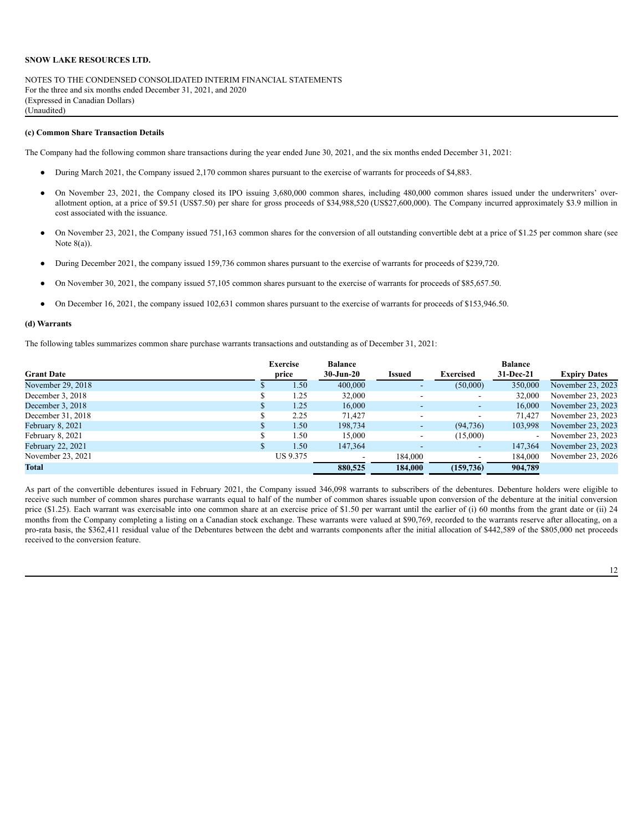NOTES TO THE CONDENSED CONSOLIDATED INTERIM FINANCIAL STATEMENTS For the three and six months ended December 31, 2021, and 2020 (Expressed in Canadian Dollars) (Unaudited)

#### **(c) Common Share Transaction Details**

The Company had the following common share transactions during the year ended June 30, 2021, and the six months ended December 31, 2021:

- During March 2021, the Company issued 2,170 common shares pursuant to the exercise of warrants for proceeds of \$4,883.
- On November 23, 2021, the Company closed its IPO issuing 3,680,000 common shares, including 480,000 common shares issued under the underwriters' overallotment option, at a price of \$9.51 (US\$7.50) per share for gross proceeds of \$34,988,520 (US\$27,600,000). The Company incurred approximately \$3.9 million in cost associated with the issuance.
- On November 23, 2021, the Company issued 751,163 common shares for the conversion of all outstanding convertible debt at a price of \$1.25 per common share (see Note  $8(a)$ ).
- During December 2021, the company issued 159,736 common shares pursuant to the exercise of warrants for proceeds of \$239,720.
- On November 30, 2021, the company issued 57,105 common shares pursuant to the exercise of warrants for proceeds of \$85,657.50.
- On December 16, 2021, the company issued 102,631 common shares pursuant to the exercise of warrants for proceeds of \$153,946.50.

#### **(d) Warrants**

The following tables summarizes common share purchase warrants transactions and outstanding as of December 31, 2021:

|                   | <b>Exercise</b> | <b>Balance</b>           |                          |                          | <b>Balance</b> |                     |
|-------------------|-----------------|--------------------------|--------------------------|--------------------------|----------------|---------------------|
| <b>Grant Date</b> | price           | $30 - Jun-20$            | <b>Issued</b>            | <b>Exercised</b>         | 31-Dec-21      | <b>Expiry Dates</b> |
| November 29, 2018 | 1.50            | 400,000                  |                          | (50,000)                 | 350,000        | November 23, 2023   |
| December 3, 2018  | 1.25            | 32,000                   |                          |                          | 32,000         | November 23, 2023   |
| December 3, 2018  | 1.25            | 16,000                   |                          | $\overline{\phantom{a}}$ | 16,000         | November 23, 2023   |
| December 31, 2018 | 2.25            | 71.427                   |                          | $\overline{\phantom{a}}$ | 71.427         | November 23, 2023   |
| February 8, 2021  | 1.50            | 198,734                  | $\sim$                   | (94, 736)                | 103,998        | November 23, 2023   |
| February 8, 2021  | 1.50            | 15,000                   | ۰.                       | (15,000)                 | $\sim$         | November 23, 2023   |
| February 22, 2021 | 1.50            | 147,364                  | $\overline{\phantom{a}}$ | $\sim$                   | 147,364        | November 23, 2023   |
| November 23, 2021 | US 9.375        | $\overline{\phantom{a}}$ | 184.000                  | $\overline{\phantom{0}}$ | 184.000        | November 23, 2026   |
| <b>Total</b>      |                 | 880,525                  | 184,000                  | (159, 736)               | 904.789        |                     |

As part of the convertible debentures issued in February 2021, the Company issued 346,098 warrants to subscribers of the debentures. Debenture holders were eligible to receive such number of common shares purchase warrants equal to half of the number of common shares issuable upon conversion of the debenture at the initial conversion price (\$1.25). Each warrant was exercisable into one common share at an exercise price of \$1.50 per warrant until the earlier of (i) 60 months from the grant date or (ii) 24 months from the Company completing a listing on a Canadian stock exchange. These warrants were valued at \$90,769, recorded to the warrants reserve after allocating, on a pro-rata basis, the \$362,411 residual value of the Debentures between the debt and warrants components after the initial allocation of \$442,589 of the \$805,000 net proceeds received to the conversion feature.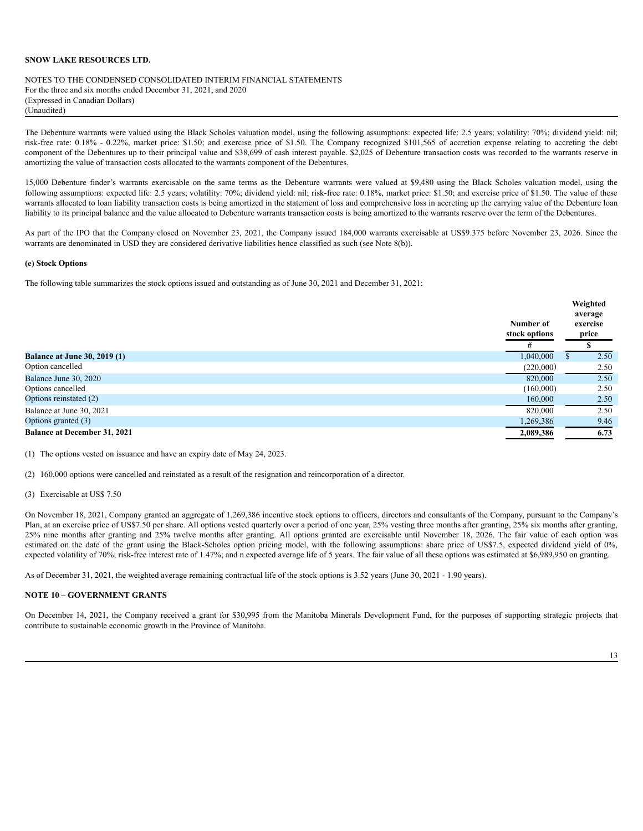NOTES TO THE CONDENSED CONSOLIDATED INTERIM FINANCIAL STATEMENTS For the three and six months ended December 31, 2021, and 2020 (Expressed in Canadian Dollars) (Unaudited)

The Debenture warrants were valued using the Black Scholes valuation model, using the following assumptions: expected life: 2.5 years; volatility: 70%; dividend yield: nil; risk-free rate: 0.18% - 0.22%, market price: \$1.50; and exercise price of \$1.50. The Company recognized \$101,565 of accretion expense relating to accreting the debt component of the Debentures up to their principal value and \$38,699 of cash interest payable. \$2,025 of Debenture transaction costs was recorded to the warrants reserve in amortizing the value of transaction costs allocated to the warrants component of the Debentures.

15,000 Debenture finder's warrants exercisable on the same terms as the Debenture warrants were valued at \$9,480 using the Black Scholes valuation model, using the following assumptions: expected life: 2.5 years; volatility: 70%; dividend yield: nil; risk-free rate: 0.18%, market price: \$1.50; and exercise price of \$1.50. The value of these warrants allocated to loan liability transaction costs is being amortized in the statement of loss and comprehensive loss in accreting up the carrying value of the Debenture loan liability to its principal balance and the value allocated to Debenture warrants transaction costs is being amortized to the warrants reserve over the term of the Debentures.

As part of the IPO that the Company closed on November 23, 2021, the Company issued 184,000 warrants exercisable at US\$9.375 before November 23, 2026. Since the warrants are denominated in USD they are considered derivative liabilities hence classified as such (see Note 8(b)).

### **(e) Stock Options**

The following table summarizes the stock options issued and outstanding as of June 30, 2021 and December 31, 2021:

|                                     | Number of<br>stock options | Weighted<br>average<br>exercise<br>price |
|-------------------------------------|----------------------------|------------------------------------------|
|                                     | #                          |                                          |
| <b>Balance at June 30, 2019 (1)</b> | 1,040,000                  | 2.50                                     |
| Option cancelled                    | (220,000)                  | 2.50                                     |
| Balance June 30, 2020               | 820,000                    | 2.50                                     |
| Options cancelled                   | (160,000)                  | 2.50                                     |
| Options reinstated (2)              | 160,000                    | 2.50                                     |
| Balance at June 30, 2021            | 820,000                    | 2.50                                     |
| Options granted (3)                 | 1,269,386                  | 9.46                                     |
| <b>Balance at December 31, 2021</b> | 2,089,386                  | 6.73                                     |

(1) The options vested on issuance and have an expiry date of May 24, 2023.

(2) 160,000 options were cancelled and reinstated as a result of the resignation and reincorporation of a director.

(3) Exercisable at US\$ 7.50

On November 18, 2021, Company granted an aggregate of 1,269,386 incentive stock options to officers, directors and consultants of the Company, pursuant to the Company's Plan, at an exercise price of US\$7.50 per share. All options vested quarterly over a period of one year, 25% vesting three months after granting, 25% six months after granting, 25% nine months after granting and 25% twelve months after granting. All options granted are exercisable until November 18, 2026. The fair value of each option was estimated on the date of the grant using the Black-Scholes option pricing model, with the following assumptions: share price of US\$7.5, expected dividend yield of 0%, expected volatility of 70%; risk-free interest rate of 1.47%; and n expected average life of 5 years. The fair value of all these options was estimated at \$6,989,950 on granting.

As of December 31, 2021, the weighted average remaining contractual life of the stock options is 3.52 years (June 30, 2021 - 1.90 years).

### **NOTE 10 – GOVERNMENT GRANTS**

On December 14, 2021, the Company received a grant for \$30,995 from the Manitoba Minerals Development Fund, for the purposes of supporting strategic projects that contribute to sustainable economic growth in the Province of Manitoba.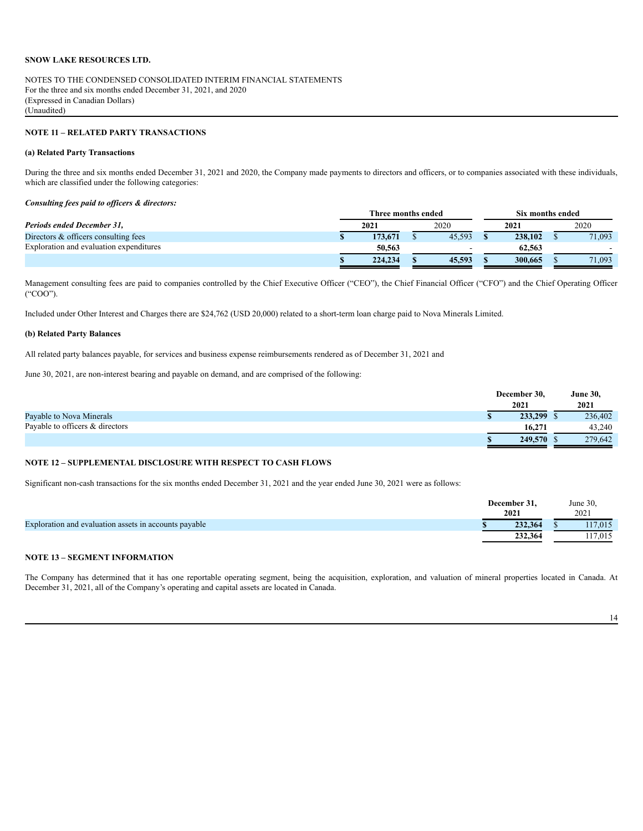NOTES TO THE CONDENSED CONSOLIDATED INTERIM FINANCIAL STATEMENTS For the three and six months ended December 31, 2021, and 2020 (Expressed in Canadian Dollars) (Unaudited)

## **NOTE 11 – RELATED PARTY TRANSACTIONS**

### **(a) Related Party Transactions**

During the three and six months ended December 31, 2021 and 2020, the Company made payments to directors and officers, or to companies associated with these individuals, which are classified under the following categories:

### *Consulting fees paid to of icers & directors:*

|                                         | Three months ended |         |  | Six months ended |         |  |        |
|-----------------------------------------|--------------------|---------|--|------------------|---------|--|--------|
| Periods ended December 31.              |                    | 2021    |  | 2020             | 2021    |  | 2020   |
| Directors & officers consulting fees    |                    | 173,671 |  | 45.593           | 238,102 |  | 71,093 |
| Exploration and evaluation expenditures |                    | 50,563  |  | $\sim$           | 62.563  |  |        |
|                                         |                    | 224,234 |  | 45,593           | 300,665 |  | 71.093 |

Management consulting fees are paid to companies controlled by the Chief Executive Officer ("CEO"), the Chief Financial Officer ("CFO") and the Chief Operating Officer ("COO").

Included under Other Interest and Charges there are \$24,762 (USD 20,000) related to a short-term loan charge paid to Nova Minerals Limited.

#### **(b) Related Party Balances**

All related party balances payable, for services and business expense reimbursements rendered as of December 31, 2021 and

June 30, 2021, are non-interest bearing and payable on demand, and are comprised of the following:

|                                 | December 30, | <b>June 30,</b> |  |
|---------------------------------|--------------|-----------------|--|
|                                 | 2021         | 2021            |  |
| Payable to Nova Minerals        | 233,299      | 236,402         |  |
| Payable to officers & directors | 16.271       | 43,240          |  |
|                                 | 249,570 \$   | 279,642         |  |

# **NOTE 12 – SUPPLEMENTAL DISCLOSURE WITH RESPECT TO CASH FLOWS**

Significant non-cash transactions for the six months ended December 31, 2021 and the year ended June 30, 2021 were as follows:

|                                                       | December 31. | June 30, |
|-------------------------------------------------------|--------------|----------|
|                                                       | 2021         | 2021     |
| Exploration and evaluation assets in accounts payable | 232.364      | 117,015  |
|                                                       | 232,364      | 117,015  |

# **NOTE 13 – SEGMENT INFORMATION**

The Company has determined that it has one reportable operating segment, being the acquisition, exploration, and valuation of mineral properties located in Canada. At December 31, 2021, all of the Company's operating and capital assets are located in Canada.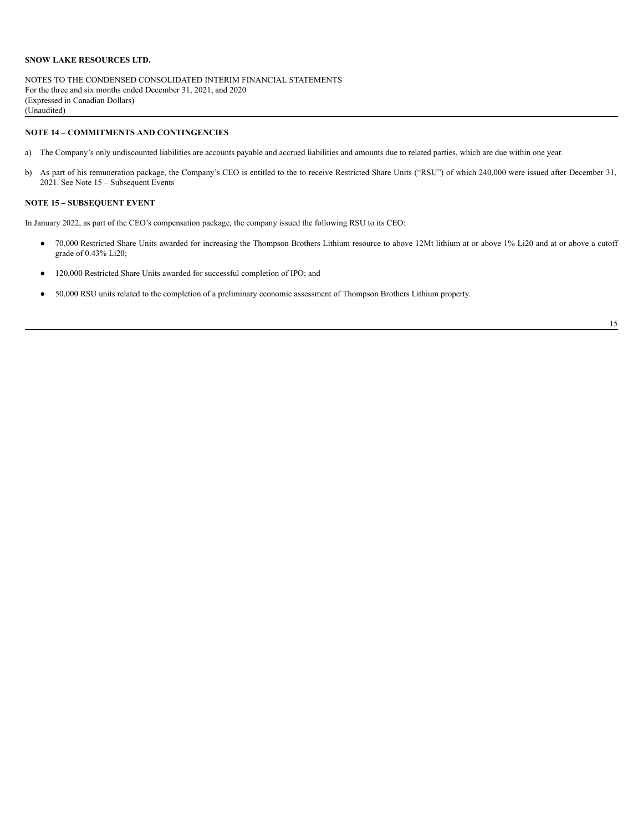NOTES TO THE CONDENSED CONSOLIDATED INTERIM FINANCIAL STATEMENTS For the three and six months ended December 31, 2021, and 2020 (Expressed in Canadian Dollars) (Unaudited)

# **NOTE 14 – COMMITMENTS AND CONTINGENCIES**

- a) The Company's only undiscounted liabilities are accounts payable and accrued liabilities and amounts due to related parties, which are due within one year.
- b) As part of his remuneration package, the Company's CEO is entitled to the to receive Restricted Share Units ("RSU") of which 240,000 were issued after December 31, 2021. See Note 15 – Subsequent Events

# **NOTE 15 – SUBSEQUENT EVENT**

In January 2022, as part of the CEO's compensation package, the company issued the following RSU to its CEO:

- 70,000 Restricted Share Units awarded for increasing the Thompson Brothers Lithium resource to above 12Mt lithium at or above 1% Li20 and at or above a cutoff grade of 0.43% Li20;
- 120,000 Restricted Share Units awarded for successful completion of IPO; and
- 50,000 RSU units related to the completion of a preliminary economic assessment of Thompson Brothers Lithium property.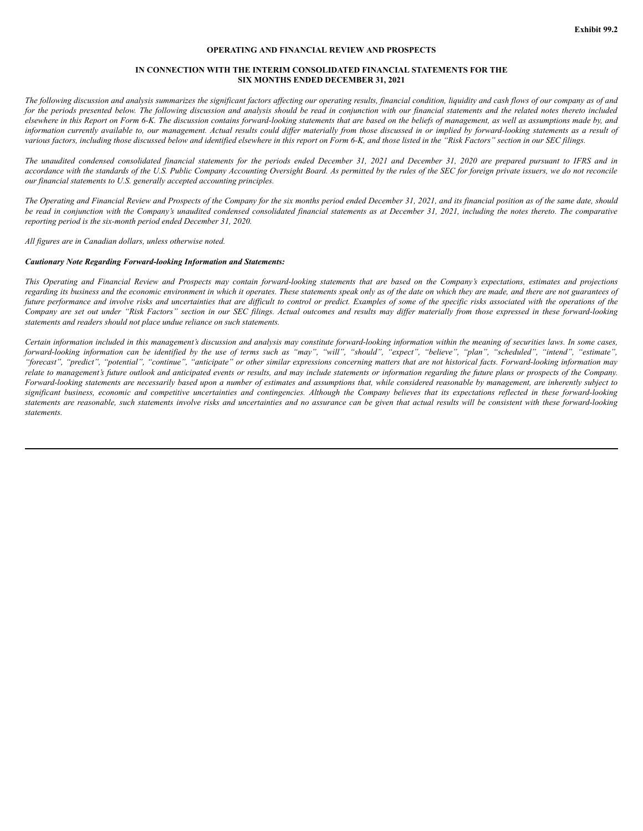## **OPERATING AND FINANCIAL REVIEW AND PROSPECTS**

### **IN CONNECTION WITH THE INTERIM CONSOLIDATED FINANCIAL STATEMENTS FOR THE SIX MONTHS ENDED DECEMBER 31, 2021**

The following discussion and analysis summarizes the significant factors affecting our operating results, financial condition, liquidity and cash flows of our company as of and for the periods presented below. The following discussion and analysis should be read in conjunction with our financial statements and the related notes thereto included elsewhere in this Report on Form 6-K. The discussion contains forward-looking statements that are based on the beliefs of management, as well as assumptions made by, and information currently available to, our management. Actual results could differ materially from those discussed in or implied by forward-looking statements as a result of various factors, including those discussed below and identified elsewhere in this report on Form 6-K, and those listed in the "Risk Factors" section in our SEC filings.

The unaudited condensed consolidated financial statements for the periods ended December 31, 2021 and December 31, 2020 are prepared pursuant to IFRS and in accordance with the standards of the U.S. Public Company Accounting Oversight Board. As permitted by the rules of the SEC for foreign private issuers, we do not reconcile *our financial statements to U.S. generally accepted accounting principles.*

The Operating and Financial Review and Prospects of the Company for the six months period ended December 31, 2021, and its financial position as of the same date, should be read in conjunction with the Company's unaudited condensed consolidated financial statements as at December 31, 2021, including the notes thereto. The comparative *reporting period is the six-month period ended December 31, 2020.*

*All figures are in Canadian dollars, unless otherwise noted.*

### *Cautionary Note Regarding Forward-looking Information and Statements:*

This Operating and Financial Review and Prospects may contain forward-looking statements that are based on the Company's expectations, estimates and projections regarding its business and the economic environment in which it operates. These statements speak only as of the date on which they are made, and there are not guarantees of future performance and involve risks and uncertainties that are difficult to control or predict. Examples of some of the specific risks associated with the operations of the Company are set out under "Risk Factors" section in our SEC filings. Actual outcomes and results may differ materially from those expressed in these forward-looking *statements and readers should not place undue reliance on such statements.*

Certain information included in this management's discussion and analysis may constitute forward-looking information within the meaning of securities laws. In some cases, forward-looking information can be identified by the use of terms such as "may", "will", "should", "expect", "believe", "plan", "scheduled", "intend", "estimate", "forecast", "predict", "potential", "continue", "anticipate" or other similar expressions concerning matters that are not historical facts. Forward-looking information may relate to management's future outlook and anticipated events or results, and may include statements or information regarding the future plans or prospects of the Company. Forward-looking statements are necessarily based upon a number of estimates and assumptions that, while considered reasonable by management, are inherently subject to significant business, economic and competitive uncertainties and contingencies. Although the Company believes that its expectations reflected in these forward-looking statements are reasonable, such statements involve risks and uncertainties and no assurance can be given that actual results will be consistent with these forward-looking *statements.*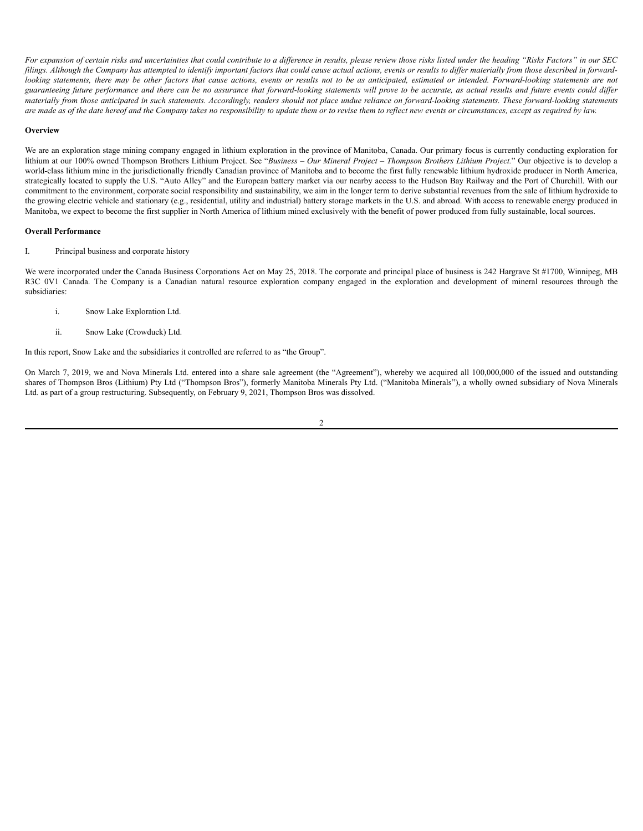For expansion of certain risks and uncertainties that could contribute to a difference in results, please review those risks listed under the heading "Risks Factors" in our SEC filings. Although the Company has attempted to identify important factors that could cause actual actions, events or results to differ materially from those described in forwardlooking statements, there may be other factors that cause actions, events or results not to be as anticipated, estimated or intended. Forward-looking statements are not guaranteeing future performance and there can be no assurance that forward-looking statements will prove to be accurate, as actual results and future events could differ materially from those anticipated in such statements. Accordingly, readers should not place undue reliance on forward-looking statements. These forward-looking statements are made as of the date hereof and the Company takes no responsibility to update them or to revise them to reflect new events or circumstances, except as required by law.

#### **Overview**

We are an exploration stage mining company engaged in lithium exploration in the province of Manitoba, Canada. Our primary focus is currently conducting exploration for lithium at our 100% owned Thompson Brothers Lithium Project. See "Business - Our Mineral Project - Thompson Brothers Lithium Project." Our objective is to develop a world-class lithium mine in the jurisdictionally friendly Canadian province of Manitoba and to become the first fully renewable lithium hydroxide producer in North America, strategically located to supply the U.S. "Auto Alley" and the European battery market via our nearby access to the Hudson Bay Railway and the Port of Churchill. With our commitment to the environment, corporate social responsibility and sustainability, we aim in the longer term to derive substantial revenues from the sale of lithium hydroxide to the growing electric vehicle and stationary (e.g., residential, utility and industrial) battery storage markets in the U.S. and abroad. With access to renewable energy produced in Manitoba, we expect to become the first supplier in North America of lithium mined exclusively with the benefit of power produced from fully sustainable, local sources.

### **Overall Performance**

I. Principal business and corporate history

We were incorporated under the Canada Business Corporations Act on May 25, 2018. The corporate and principal place of business is 242 Hargrave St #1700, Winnipeg, MB R3C 0V1 Canada. The Company is a Canadian natural resource exploration company engaged in the exploration and development of mineral resources through the subsidiaries:

- i. Snow Lake Exploration Ltd.
- ii. Snow Lake (Crowduck) Ltd.

In this report, Snow Lake and the subsidiaries it controlled are referred to as "the Group".

On March 7, 2019, we and Nova Minerals Ltd. entered into a share sale agreement (the "Agreement"), whereby we acquired all 100,000,000 of the issued and outstanding shares of Thompson Bros (Lithium) Pty Ltd ("Thompson Bros"), formerly Manitoba Minerals Pty Ltd. ("Manitoba Minerals"), a wholly owned subsidiary of Nova Minerals Ltd. as part of a group restructuring. Subsequently, on February 9, 2021, Thompson Bros was dissolved.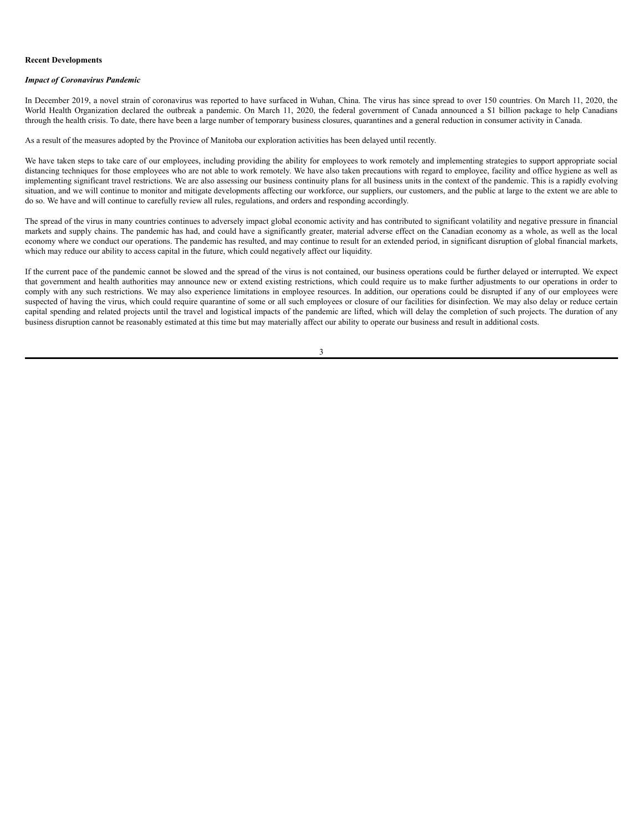#### **Recent Developments**

#### *Impact of Coronavirus Pandemic*

In December 2019, a novel strain of coronavirus was reported to have surfaced in Wuhan, China. The virus has since spread to over 150 countries. On March 11, 2020, the World Health Organization declared the outbreak a pandemic. On March 11, 2020, the federal government of Canada announced a \$1 billion package to help Canadians through the health crisis. To date, there have been a large number of temporary business closures, quarantines and a general reduction in consumer activity in Canada.

As a result of the measures adopted by the Province of Manitoba our exploration activities has been delayed until recently.

We have taken steps to take care of our employees, including providing the ability for employees to work remotely and implementing strategies to support appropriate social distancing techniques for those employees who are not able to work remotely. We have also taken precautions with regard to employee, facility and office hygiene as well as implementing significant travel restrictions. We are also assessing our business continuity plans for all business units in the context of the pandemic. This is a rapidly evolving situation, and we will continue to monitor and mitigate developments affecting our workforce, our suppliers, our customers, and the public at large to the extent we are able to do so. We have and will continue to carefully review all rules, regulations, and orders and responding accordingly.

The spread of the virus in many countries continues to adversely impact global economic activity and has contributed to significant volatility and negative pressure in financial markets and supply chains. The pandemic has had, and could have a significantly greater, material adverse effect on the Canadian economy as a whole, as well as the local economy where we conduct our operations. The pandemic has resulted, and may continue to result for an extended period, in significant disruption of global financial markets, which may reduce our ability to access capital in the future, which could negatively affect our liquidity.

If the current pace of the pandemic cannot be slowed and the spread of the virus is not contained, our business operations could be further delayed or interrupted. We expect that government and health authorities may announce new or extend existing restrictions, which could require us to make further adjustments to our operations in order to comply with any such restrictions. We may also experience limitations in employee resources. In addition, our operations could be disrupted if any of our employees were suspected of having the virus, which could require quarantine of some or all such employees or closure of our facilities for disinfection. We may also delay or reduce certain capital spending and related projects until the travel and logistical impacts of the pandemic are lifted, which will delay the completion of such projects. The duration of any business disruption cannot be reasonably estimated at this time but may materially affect our ability to operate our business and result in additional costs.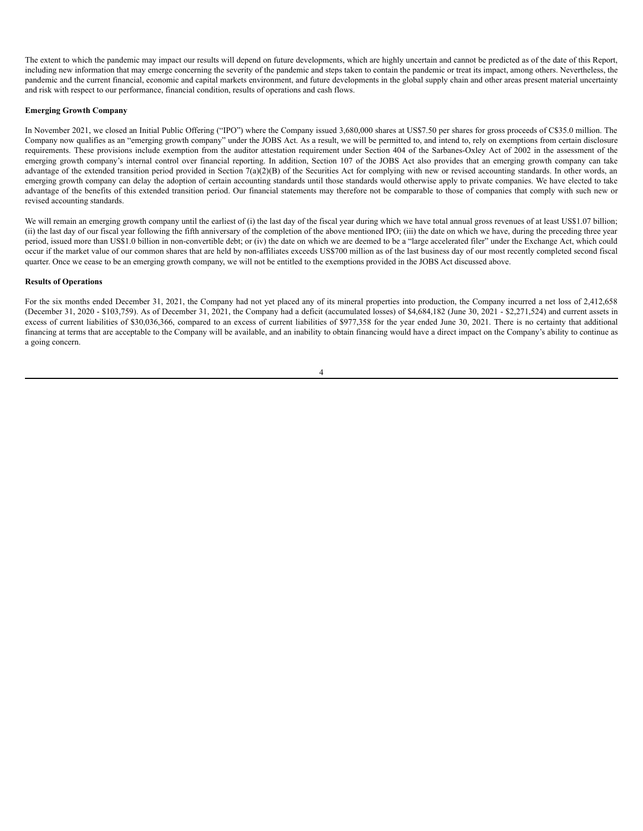The extent to which the pandemic may impact our results will depend on future developments, which are highly uncertain and cannot be predicted as of the date of this Report, including new information that may emerge concerning the severity of the pandemic and steps taken to contain the pandemic or treat its impact, among others. Nevertheless, the pandemic and the current financial, economic and capital markets environment, and future developments in the global supply chain and other areas present material uncertainty and risk with respect to our performance, financial condition, results of operations and cash flows.

### **Emerging Growth Company**

In November 2021, we closed an Initial Public Offering ("IPO") where the Company issued 3,680,000 shares at US\$7.50 per shares for gross proceeds of C\$35.0 million. The Company now qualifies as an "emerging growth company" under the JOBS Act. As a result, we will be permitted to, and intend to, rely on exemptions from certain disclosure requirements. These provisions include exemption from the auditor attestation requirement under Section 404 of the Sarbanes-Oxley Act of 2002 in the assessment of the emerging growth company's internal control over financial reporting. In addition, Section 107 of the JOBS Act also provides that an emerging growth company can take advantage of the extended transition period provided in Section 7(a)(2)(B) of the Securities Act for complying with new or revised accounting standards. In other words, an emerging growth company can delay the adoption of certain accounting standards until those standards would otherwise apply to private companies. We have elected to take advantage of the benefits of this extended transition period. Our financial statements may therefore not be comparable to those of companies that comply with such new or revised accounting standards.

We will remain an emerging growth company until the earliest of (i) the last day of the fiscal year during which we have total annual gross revenues of at least US\$1.07 billion; (ii) the last day of our fiscal year following the fifth anniversary of the completion of the above mentioned IPO; (iii) the date on which we have, during the preceding three year period, issued more than US\$1.0 billion in non-convertible debt; or (iv) the date on which we are deemed to be a "large accelerated filer" under the Exchange Act, which could occur if the market value of our common shares that are held by non-affiliates exceeds US\$700 million as of the last business day of our most recently completed second fiscal quarter. Once we cease to be an emerging growth company, we will not be entitled to the exemptions provided in the JOBS Act discussed above.

### **Results of Operations**

For the six months ended December 31, 2021, the Company had not yet placed any of its mineral properties into production, the Company incurred a net loss of 2,412,658 (December 31, 2020 - \$103,759). As of December 31, 2021, the Company had a deficit (accumulated losses) of \$4,684,182 (June 30, 2021 - \$2,271,524) and current assets in excess of current liabilities of \$30,036,366, compared to an excess of current liabilities of \$977,358 for the year ended June 30, 2021. There is no certainty that additional financing at terms that are acceptable to the Company will be available, and an inability to obtain financing would have a direct impact on the Company's ability to continue as a going concern.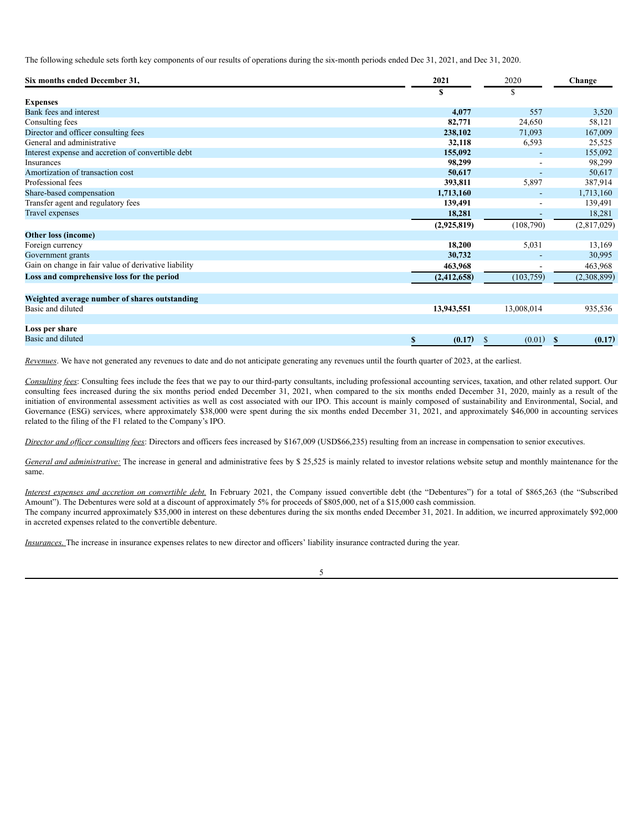The following schedule sets forth key components of our results of operations during the six-month periods ended Dec 31, 2021, and Dec 31, 2020.

| Six months ended December 31,                        | 2021         | 2020         | Change                 |
|------------------------------------------------------|--------------|--------------|------------------------|
|                                                      | S            | \$           |                        |
| <b>Expenses</b>                                      |              |              |                        |
| Bank fees and interest                               | 4,077        | 557          | 3,520                  |
| Consulting fees                                      | 82,771       | 24,650       | 58,121                 |
| Director and officer consulting fees                 | 238,102      | 71,093       | 167,009                |
| General and administrative                           | 32,118       | 6,593        | 25,525                 |
| Interest expense and accretion of convertible debt   | 155,092      |              | 155,092                |
| Insurances                                           | 98,299       |              | 98,299                 |
| Amortization of transaction cost                     | 50,617       |              | 50,617                 |
| Professional fees                                    | 393,811      | 5,897        | 387,914                |
| Share-based compensation                             | 1,713,160    |              | 1,713,160              |
| Transfer agent and regulatory fees                   | 139,491      |              | 139,491                |
| Travel expenses                                      | 18,281       |              | 18,281                 |
|                                                      | (2,925,819)  | (108,790)    | (2,817,029)            |
| Other loss (income)                                  |              |              |                        |
| Foreign currency                                     | 18,200       | 5,031        | 13,169                 |
| Government grants                                    | 30,732       |              | 30,995                 |
| Gain on change in fair value of derivative liability | 463,968      |              | 463,968                |
| Loss and comprehensive loss for the period           | (2,412,658)  | (103, 759)   | (2,308,899)            |
| Weighted average number of shares outstanding        |              |              |                        |
| Basic and diluted                                    | 13,943,551   | 13,008,014   | 935,536                |
|                                                      |              |              |                        |
| Loss per share                                       |              |              |                        |
| Basic and diluted                                    | \$<br>(0.17) | \$<br>(0.01) | (0.17)<br>$\mathbf{s}$ |

*Revenues*. We have not generated any revenues to date and do not anticipate generating any revenues until the fourth quarter of 2023, at the earliest.

*Consulting fees*: Consulting fees include the fees that we pay to our third-party consultants, including professional accounting services, taxation, and other related support. Our consulting fees increased during the six months period ended December 31, 2021, when compared to the six months ended December 31, 2020, mainly as a result of the initiation of environmental assessment activities as well as cost associated with our IPO. This account is mainly composed of sustainability and Environmental, Social, and Governance (ESG) services, where approximately \$38,000 were spent during the six months ended December 31, 2021, and approximately \$46,000 in accounting services related to the filing of the F1 related to the Company's IPO.

*Director and of icer consulting fees*: Directors and officers fees increased by \$167,009 (USD\$66,235) resulting from an increase in compensation to senior executives.

*General and administrative*: The increase in general and administrative fees by \$ 25,525 is mainly related to investor relations website setup and monthly maintenance for the same.

*Interest expenses and accretion on convertible debt.* In February 2021, the Company issued convertible debt (the "Debentures") for a total of \$865,263 (the "Subscribed Amount"). The Debentures were sold at a discount of approximately 5% for proceeds of \$805,000, net of a \$15,000 cash commission. The company incurred approximately \$35,000 in interest on these debentures during the six months ended December 31, 2021. In addition, we incurred approximately \$92,000 in accreted expenses related to the convertible debenture.

*Insurances.* The increase in insurance expenses relates to new director and officers' liability insurance contracted during the year.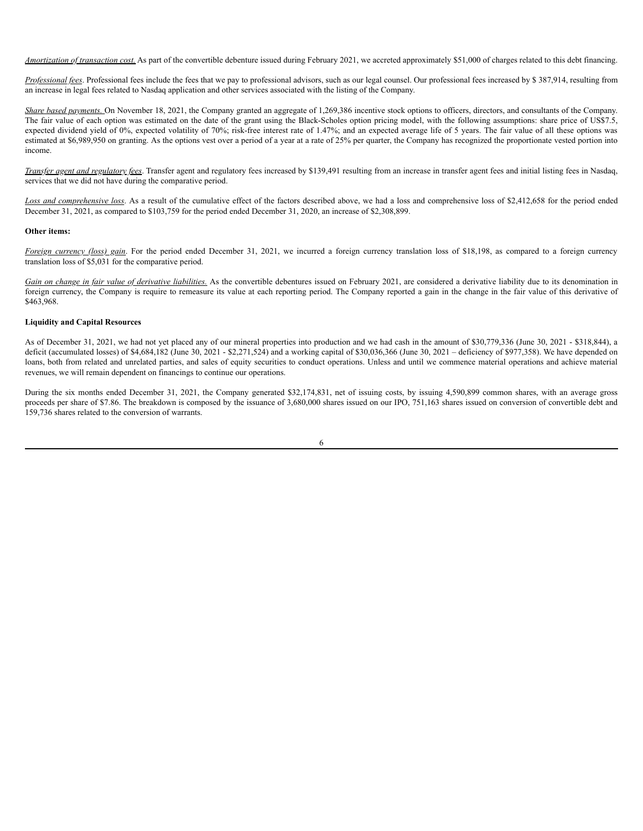*Amortization of transaction cost*. As part of the convertible debenture issued during February 2021, we accreted approximately \$51,000 of charges related to this debt financing.

*Professional fees*. Professional fees include the fees that we pay to professional advisors, such as our legal counsel. Our professional fees increased by \$ 387,914, resulting from an increase in legal fees related to Nasdaq application and other services associated with the listing of the Company.

*Share based payments*. On November 18, 2021, the Company granted an aggregate of 1,269,386 incentive stock options to officers, directors, and consultants of the Company. The fair value of each option was estimated on the date of the grant using the Black-Scholes option pricing model, with the following assumptions: share price of US\$7.5, expected dividend yield of 0%, expected volatility of 70%; risk-free interest rate of 1.47%; and an expected average life of 5 years. The fair value of all these options was estimated at \$6,989,950 on granting. As the options vest over a period of a year at a rate of 25% per quarter, the Company has recognized the proportionate vested portion into income.

*Transfer agent and regulatory fees*. Transfer agent and regulatory fees increased by \$139,491 resulting from an increase in transfer agent fees and initial listing fees in Nasdaq, services that we did not have during the comparative period.

*Loss and comprehensive loss*. As a result of the cumulative effect of the factors described above, we had a loss and comprehensive loss of \$2,412,658 for the period ended December 31, 2021, as compared to \$103,759 for the period ended December 31, 2020, an increase of \$2,308,899.

# **Other items:**

*Foreign currency (loss) gain*. For the period ended December 31, 2021, we incurred a foreign currency translation loss of \$18,198, as compared to a foreign currency translation loss of \$5,031 for the comparative period.

Gain on change in fair value of derivative liabilities. As the convertible debentures issued on February 2021, are considered a derivative liability due to its denomination in foreign currency, the Company is require to remeasure its value at each reporting period. The Company reported a gain in the change in the fair value of this derivative of \$463,968.

# **Liquidity and Capital Resources**

As of December 31, 2021, we had not yet placed any of our mineral properties into production and we had cash in the amount of \$30,779,336 (June 30, 2021 - \$318,844), a deficit (accumulated losses) of \$4,684,182 (June 30, 2021 - \$2,271,524) and a working capital of \$30,036,366 (June 30, 2021 – deficiency of \$977,358). We have depended on loans, both from related and unrelated parties, and sales of equity securities to conduct operations. Unless and until we commence material operations and achieve material revenues, we will remain dependent on financings to continue our operations.

During the six months ended December 31, 2021, the Company generated \$32,174,831, net of issuing costs, by issuing 4,590,899 common shares, with an average gross proceeds per share of \$7.86. The breakdown is composed by the issuance of 3,680,000 shares issued on our IPO, 751,163 shares issued on conversion of convertible debt and 159,736 shares related to the conversion of warrants.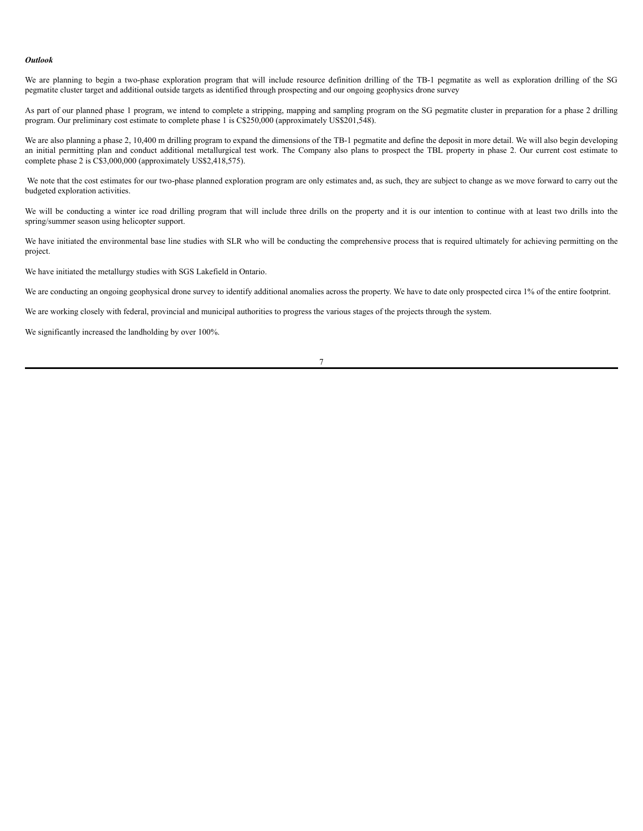#### *Outlook*

We are planning to begin a two-phase exploration program that will include resource definition drilling of the TB-1 pegmatite as well as exploration drilling of the SG pegmatite cluster target and additional outside targets as identified through prospecting and our ongoing geophysics drone survey

As part of our planned phase 1 program, we intend to complete a stripping, mapping and sampling program on the SG pegmatite cluster in preparation for a phase 2 drilling program. Our preliminary cost estimate to complete phase 1 is C\$250,000 (approximately US\$201,548).

We are also planning a phase 2, 10,400 m drilling program to expand the dimensions of the TB-1 pegmatite and define the deposit in more detail. We will also begin developing an initial permitting plan and conduct additional metallurgical test work. The Company also plans to prospect the TBL property in phase 2. Our current cost estimate to complete phase 2 is C\$3,000,000 (approximately US\$2,418,575).

We note that the cost estimates for our two-phase planned exploration program are only estimates and, as such, they are subject to change as we move forward to carry out the budgeted exploration activities.

We will be conducting a winter ice road drilling program that will include three drills on the property and it is our intention to continue with at least two drills into the spring/summer season using helicopter support.

We have initiated the environmental base line studies with SLR who will be conducting the comprehensive process that is required ultimately for achieving permitting on the project.

We have initiated the metallurgy studies with SGS Lakefield in Ontario.

We are conducting an ongoing geophysical drone survey to identify additional anomalies across the property. We have to date only prospected circa 1% of the entire footprint.

We are working closely with federal, provincial and municipal authorities to progress the various stages of the projects through the system.

We significantly increased the landholding by over 100%.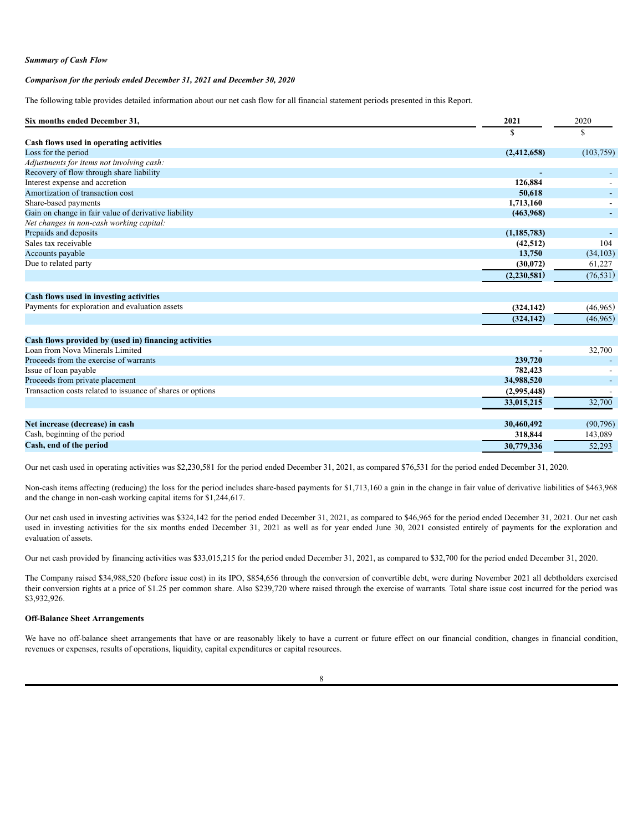#### *Summary of Cash Flow*

### *Comparison for the periods ended December 31, 2021 and December 30, 2020*

The following table provides detailed information about our net cash flow for all financial statement periods presented in this Report.

| Six months ended December 31,                              | 2021          | 2020       |
|------------------------------------------------------------|---------------|------------|
|                                                            | \$            | \$         |
| Cash flows used in operating activities                    |               |            |
| Loss for the period                                        | (2,412,658)   | (103, 759) |
| Adjustments for items not involving cash:                  |               |            |
| Recovery of flow through share liability                   |               |            |
| Interest expense and accretion                             | 126.884       |            |
| Amortization of transaction cost                           | 50,618        |            |
| Share-based payments                                       | 1,713,160     |            |
| Gain on change in fair value of derivative liability       | (463,968)     |            |
| Net changes in non-cash working capital:                   |               |            |
| Prepaids and deposits                                      | (1, 185, 783) |            |
| Sales tax receivable                                       | (42, 512)     | 104        |
| Accounts payable                                           | 13,750        | (34, 103)  |
| Due to related party                                       | (30,072)      | 61,227     |
|                                                            | (2, 230, 581) | (76, 531)  |
| Cash flows used in investing activities                    |               |            |
| Payments for exploration and evaluation assets             | (324, 142)    | (46,965)   |
|                                                            |               |            |
|                                                            | (324, 142)    | (46, 965)  |
| Cash flows provided by (used in) financing activities      |               |            |
| Loan from Nova Minerals Limited                            |               | 32,700     |
| Proceeds from the exercise of warrants                     | 239,720       |            |
| Issue of loan payable                                      | 782,423       |            |
| Proceeds from private placement                            | 34,988,520    |            |
| Transaction costs related to issuance of shares or options | (2,995,448)   |            |
|                                                            | 33,015,215    | 32,700     |
| Net increase (decrease) in cash                            | 30,460,492    | (90, 796)  |
| Cash, beginning of the period                              | 318,844       | 143,089    |
| Cash, end of the period                                    | 30,779,336    | 52,293     |
|                                                            |               |            |

Our net cash used in operating activities was \$2,230,581 for the period ended December 31, 2021, as compared \$76,531 for the period ended December 31, 2020.

Non-cash items affecting (reducing) the loss for the period includes share-based payments for \$1,713,160 a gain in the change in fair value of derivative liabilities of \$463,968 and the change in non-cash working capital items for \$1,244,617.

Our net cash used in investing activities was \$324,142 for the period ended December 31, 2021, as compared to \$46,965 for the period ended December 31, 2021. Our net cash used in investing activities for the six months ended December 31, 2021 as well as for year ended June 30, 2021 consisted entirely of payments for the exploration and evaluation of assets.

Our net cash provided by financing activities was \$33,015,215 for the period ended December 31, 2021, as compared to \$32,700 for the period ended December 31, 2020.

The Company raised \$34,988,520 (before issue cost) in its IPO, \$854,656 through the conversion of convertible debt, were during November 2021 all debtholders exercised their conversion rights at a price of \$1.25 per common share. Also \$239,720 where raised through the exercise of warrants. Total share issue cost incurred for the period was \$3,932,926.

# **Off-Balance Sheet Arrangements**

We have no off-balance sheet arrangements that have or are reasonably likely to have a current or future effect on our financial condition, changes in financial condition, revenues or expenses, results of operations, liquidity, capital expenditures or capital resources.